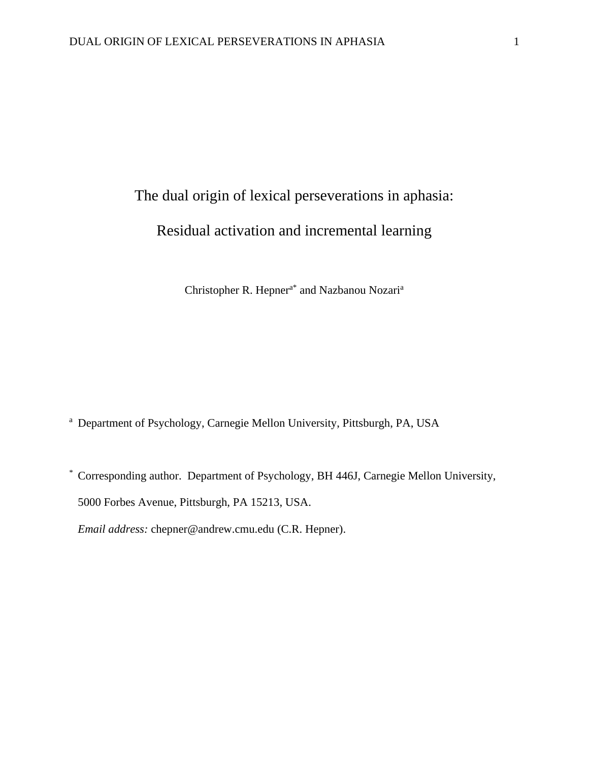# The dual origin of lexical perseverations in aphasia: Residual activation and incremental learning

Christopher R. Hepner<sup>a\*</sup> and Nazbanou Nozari<sup>a</sup>

<sup>a</sup> Department of Psychology, Carnegie Mellon University, Pittsburgh, PA, USA

\* Corresponding author. Department of Psychology, BH 446J, Carnegie Mellon University, 5000 Forbes Avenue, Pittsburgh, PA 15213, USA.

*Email address:* chepner@andrew.cmu.edu (C.R. Hepner).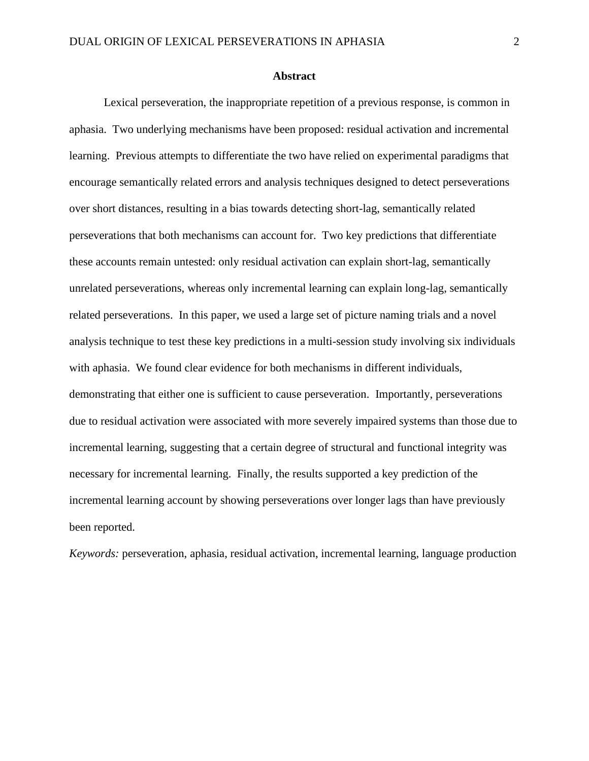## **Abstract**

Lexical perseveration, the inappropriate repetition of a previous response, is common in aphasia. Two underlying mechanisms have been proposed: residual activation and incremental learning. Previous attempts to differentiate the two have relied on experimental paradigms that encourage semantically related errors and analysis techniques designed to detect perseverations over short distances, resulting in a bias towards detecting short-lag, semantically related perseverations that both mechanisms can account for. Two key predictions that differentiate these accounts remain untested: only residual activation can explain short-lag, semantically unrelated perseverations, whereas only incremental learning can explain long-lag, semantically related perseverations. In this paper, we used a large set of picture naming trials and a novel analysis technique to test these key predictions in a multi-session study involving six individuals with aphasia. We found clear evidence for both mechanisms in different individuals, demonstrating that either one is sufficient to cause perseveration. Importantly, perseverations due to residual activation were associated with more severely impaired systems than those due to incremental learning, suggesting that a certain degree of structural and functional integrity was necessary for incremental learning. Finally, the results supported a key prediction of the incremental learning account by showing perseverations over longer lags than have previously been reported.

*Keywords:* perseveration, aphasia, residual activation, incremental learning, language production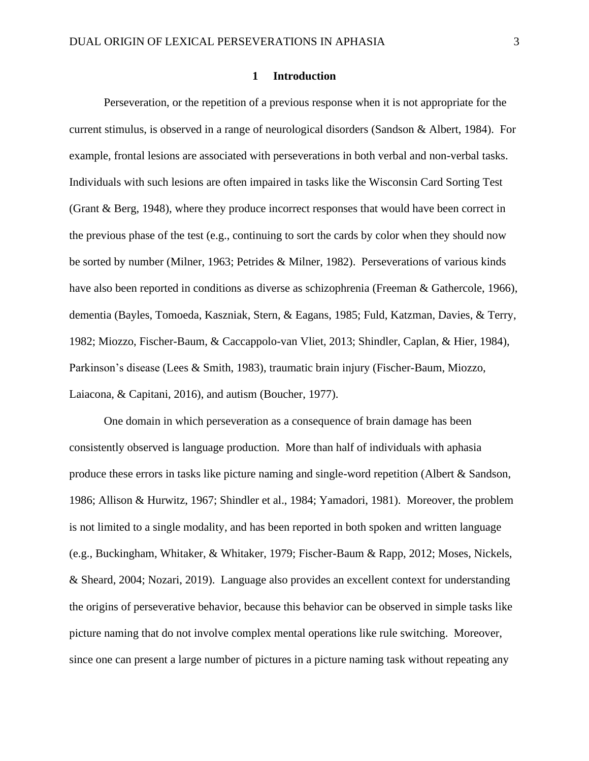## **1 Introduction**

Perseveration, or the repetition of a previous response when it is not appropriate for the current stimulus, is observed in a range of neurological disorders (Sandson & Albert, 1984). For example, frontal lesions are associated with perseverations in both verbal and non-verbal tasks. Individuals with such lesions are often impaired in tasks like the Wisconsin Card Sorting Test (Grant & Berg, 1948), where they produce incorrect responses that would have been correct in the previous phase of the test (e.g., continuing to sort the cards by color when they should now be sorted by number (Milner, 1963; Petrides & Milner, 1982). Perseverations of various kinds have also been reported in conditions as diverse as schizophrenia (Freeman & Gathercole, 1966), dementia (Bayles, Tomoeda, Kaszniak, Stern, & Eagans, 1985; Fuld, Katzman, Davies, & Terry, 1982; Miozzo, Fischer-Baum, & Caccappolo-van Vliet, 2013; Shindler, Caplan, & Hier, 1984), Parkinson's disease (Lees & Smith, 1983), traumatic brain injury (Fischer-Baum, Miozzo, Laiacona, & Capitani, 2016), and autism (Boucher, 1977).

One domain in which perseveration as a consequence of brain damage has been consistently observed is language production. More than half of individuals with aphasia produce these errors in tasks like picture naming and single-word repetition (Albert & Sandson, 1986; Allison & Hurwitz, 1967; Shindler et al., 1984; Yamadori, 1981). Moreover, the problem is not limited to a single modality, and has been reported in both spoken and written language (e.g., Buckingham, Whitaker, & Whitaker, 1979; Fischer-Baum & Rapp, 2012; Moses, Nickels, & Sheard, 2004; Nozari, 2019). Language also provides an excellent context for understanding the origins of perseverative behavior, because this behavior can be observed in simple tasks like picture naming that do not involve complex mental operations like rule switching. Moreover, since one can present a large number of pictures in a picture naming task without repeating any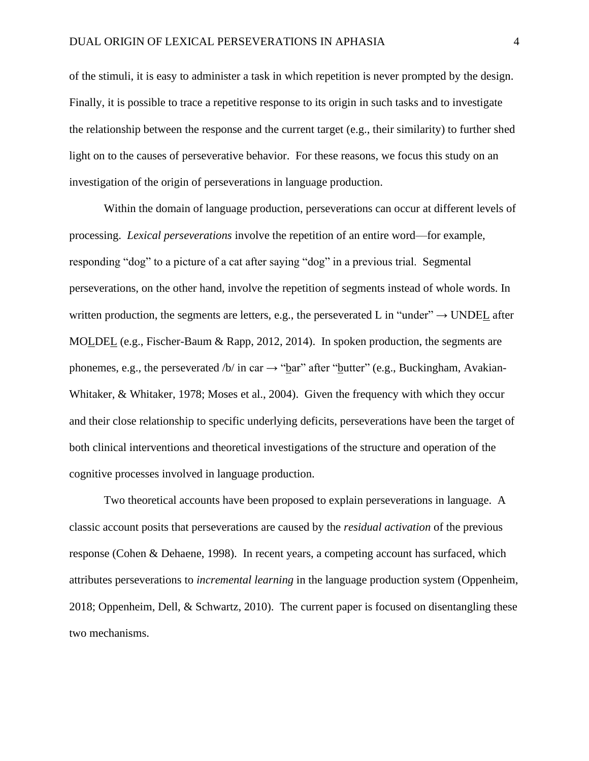of the stimuli, it is easy to administer a task in which repetition is never prompted by the design. Finally, it is possible to trace a repetitive response to its origin in such tasks and to investigate the relationship between the response and the current target (e.g., their similarity) to further shed light on to the causes of perseverative behavior. For these reasons, we focus this study on an investigation of the origin of perseverations in language production.

Within the domain of language production, perseverations can occur at different levels of processing. *Lexical perseverations* involve the repetition of an entire word—for example, responding "dog" to a picture of a cat after saying "dog" in a previous trial. Segmental perseverations, on the other hand, involve the repetition of segments instead of whole words. In written production, the segments are letters, e.g., the perseverated L in "under"  $\rightarrow$  UNDEL after MOLDEL (e.g., Fischer-Baum & Rapp, 2012, 2014). In spoken production, the segments are phonemes, e.g., the perseverated /b/ in car  $\rightarrow$  "bar" after "butter" (e.g., Buckingham, Avakian-Whitaker, & Whitaker, 1978; Moses et al., 2004). Given the frequency with which they occur and their close relationship to specific underlying deficits, perseverations have been the target of both clinical interventions and theoretical investigations of the structure and operation of the cognitive processes involved in language production.

Two theoretical accounts have been proposed to explain perseverations in language. A classic account posits that perseverations are caused by the *residual activation* of the previous response (Cohen & Dehaene, 1998). In recent years, a competing account has surfaced, which attributes perseverations to *incremental learning* in the language production system (Oppenheim, 2018; Oppenheim, Dell, & Schwartz, 2010). The current paper is focused on disentangling these two mechanisms.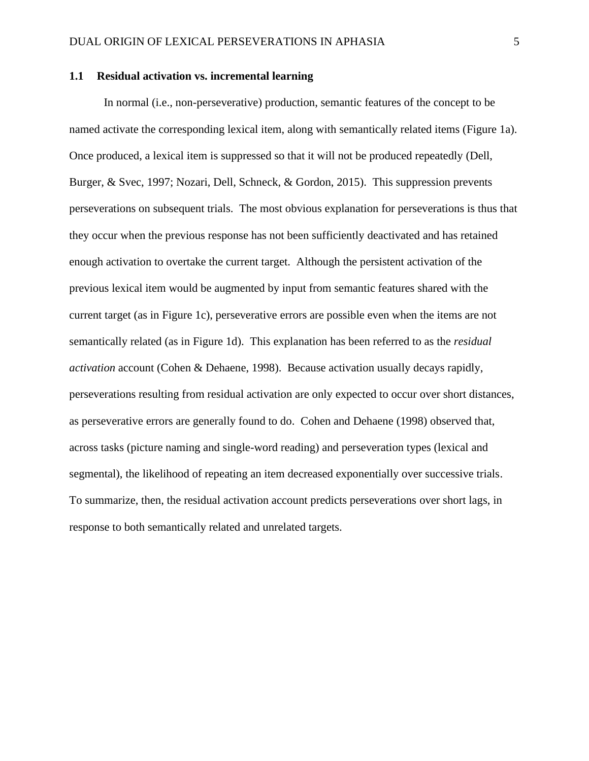## **1.1 Residual activation vs. incremental learning**

In normal (i.e., non-perseverative) production, semantic features of the concept to be named activate the corresponding lexical item, along with semantically related items (Figure 1a). Once produced, a lexical item is suppressed so that it will not be produced repeatedly (Dell, Burger, & Svec, 1997; Nozari, Dell, Schneck, & Gordon, 2015). This suppression prevents perseverations on subsequent trials. The most obvious explanation for perseverations is thus that they occur when the previous response has not been sufficiently deactivated and has retained enough activation to overtake the current target. Although the persistent activation of the previous lexical item would be augmented by input from semantic features shared with the current target (as in Figure 1c), perseverative errors are possible even when the items are not semantically related (as in Figure 1d). This explanation has been referred to as the *residual activation* account (Cohen & Dehaene, 1998). Because activation usually decays rapidly, perseverations resulting from residual activation are only expected to occur over short distances, as perseverative errors are generally found to do. Cohen and Dehaene (1998) observed that, across tasks (picture naming and single-word reading) and perseveration types (lexical and segmental), the likelihood of repeating an item decreased exponentially over successive trials. To summarize, then, the residual activation account predicts perseverations over short lags, in response to both semantically related and unrelated targets.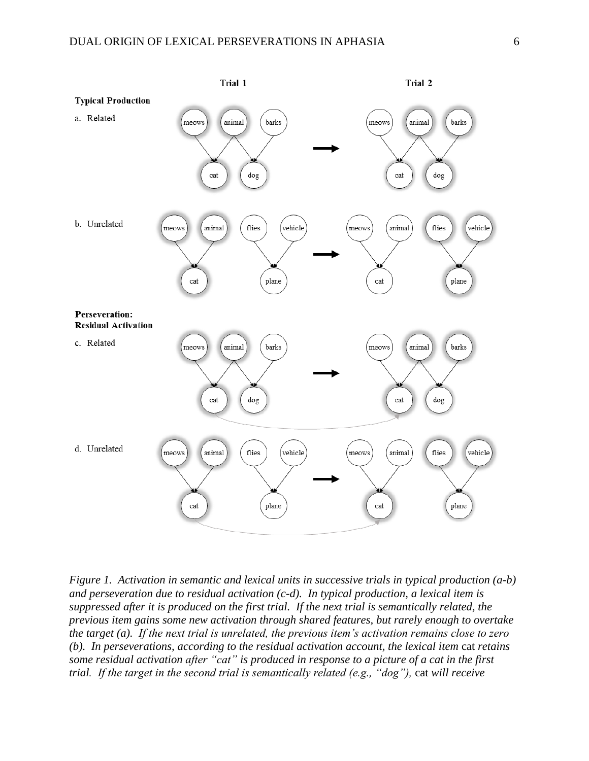

*Figure 1. Activation in semantic and lexical units in successive trials in typical production (a-b) and perseveration due to residual activation (c-d). In typical production, a lexical item is suppressed after it is produced on the first trial. If the next trial is semantically related, the previous item gains some new activation through shared features, but rarely enough to overtake the target (a). If the next trial is unrelated, the previous item's activation remains close to zero (b). In perseverations, according to the residual activation account, the lexical item cat retains some residual activation after "cat" is produced in response to a picture of a cat in the first trial. If the target in the second trial is semantically related (e.g., "dog"), cat will receive*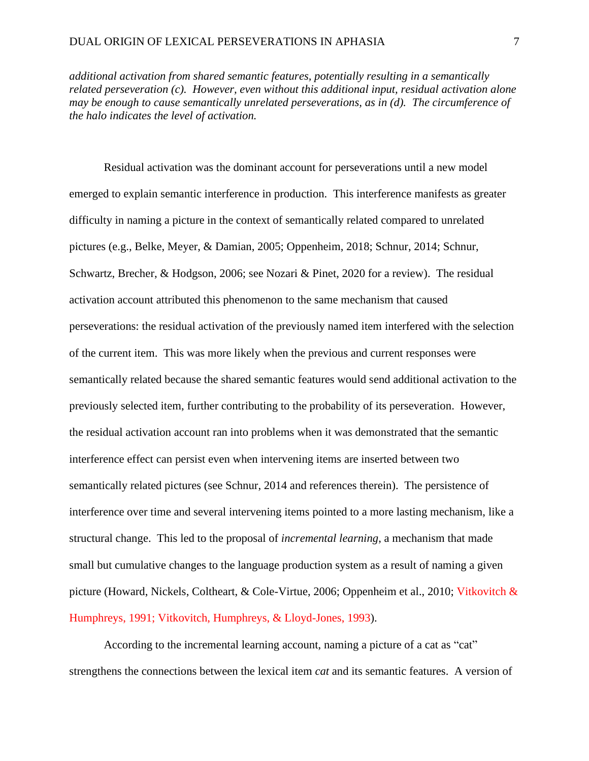*additional activation from shared semantic features, potentially resulting in a semantically related perseveration (c). However, even without this additional input, residual activation alone may be enough to cause semantically unrelated perseverations, as in (d). The circumference of the halo indicates the level of activation.*

Residual activation was the dominant account for perseverations until a new model emerged to explain semantic interference in production. This interference manifests as greater difficulty in naming a picture in the context of semantically related compared to unrelated pictures (e.g., Belke, Meyer, & Damian, 2005; Oppenheim, 2018; Schnur, 2014; Schnur, Schwartz, Brecher, & Hodgson, 2006; see Nozari & Pinet, 2020 for a review). The residual activation account attributed this phenomenon to the same mechanism that caused perseverations: the residual activation of the previously named item interfered with the selection of the current item. This was more likely when the previous and current responses were semantically related because the shared semantic features would send additional activation to the previously selected item, further contributing to the probability of its perseveration. However, the residual activation account ran into problems when it was demonstrated that the semantic interference effect can persist even when intervening items are inserted between two semantically related pictures (see Schnur, 2014 and references therein). The persistence of interference over time and several intervening items pointed to a more lasting mechanism, like a structural change. This led to the proposal of *incremental learning*, a mechanism that made small but cumulative changes to the language production system as a result of naming a given picture (Howard, Nickels, Coltheart, & Cole-Virtue, 2006; Oppenheim et al., 2010; Vitkovitch & Humphreys, 1991; Vitkovitch, Humphreys, & Lloyd-Jones, 1993).

According to the incremental learning account, naming a picture of a cat as "cat" strengthens the connections between the lexical item *cat* and its semantic features. A version of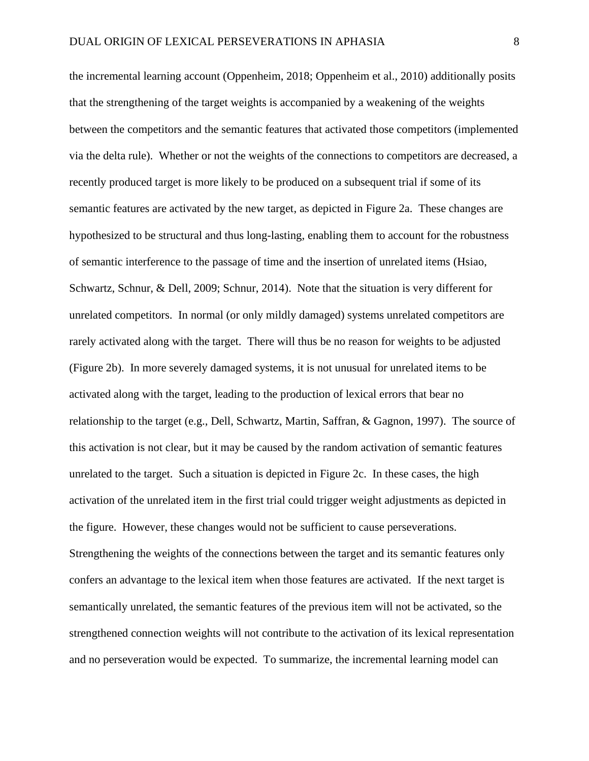the incremental learning account (Oppenheim, 2018; Oppenheim et al., 2010) additionally posits that the strengthening of the target weights is accompanied by a weakening of the weights between the competitors and the semantic features that activated those competitors (implemented via the delta rule). Whether or not the weights of the connections to competitors are decreased, a recently produced target is more likely to be produced on a subsequent trial if some of its semantic features are activated by the new target, as depicted in Figure 2a. These changes are hypothesized to be structural and thus long-lasting, enabling them to account for the robustness of semantic interference to the passage of time and the insertion of unrelated items (Hsiao, Schwartz, Schnur, & Dell, 2009; Schnur, 2014). Note that the situation is very different for unrelated competitors. In normal (or only mildly damaged) systems unrelated competitors are rarely activated along with the target. There will thus be no reason for weights to be adjusted (Figure 2b). In more severely damaged systems, it is not unusual for unrelated items to be activated along with the target, leading to the production of lexical errors that bear no relationship to the target (e.g., Dell, Schwartz, Martin, Saffran, & Gagnon, 1997). The source of this activation is not clear, but it may be caused by the random activation of semantic features unrelated to the target. Such a situation is depicted in Figure 2c. In these cases, the high activation of the unrelated item in the first trial could trigger weight adjustments as depicted in the figure. However, these changes would not be sufficient to cause perseverations. Strengthening the weights of the connections between the target and its semantic features only confers an advantage to the lexical item when those features are activated. If the next target is semantically unrelated, the semantic features of the previous item will not be activated, so the strengthened connection weights will not contribute to the activation of its lexical representation and no perseveration would be expected. To summarize, the incremental learning model can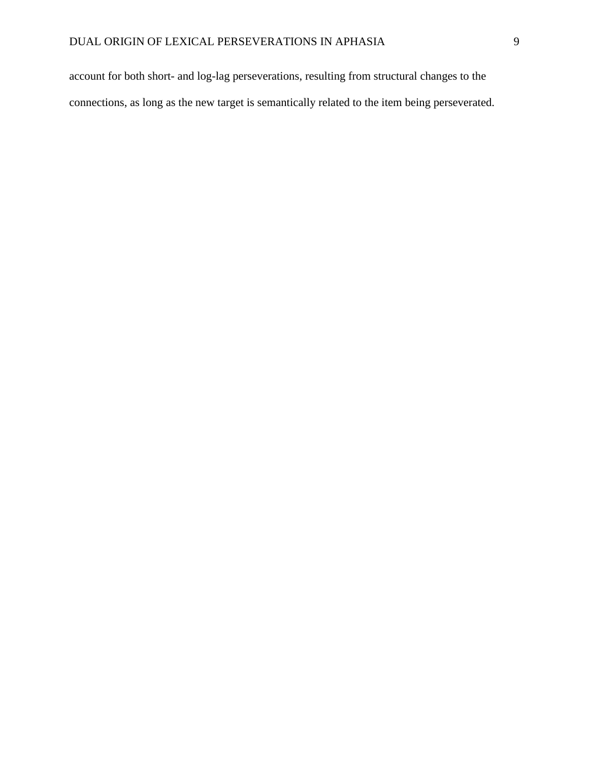account for both short- and log-lag perseverations, resulting from structural changes to the connections, as long as the new target is semantically related to the item being perseverated.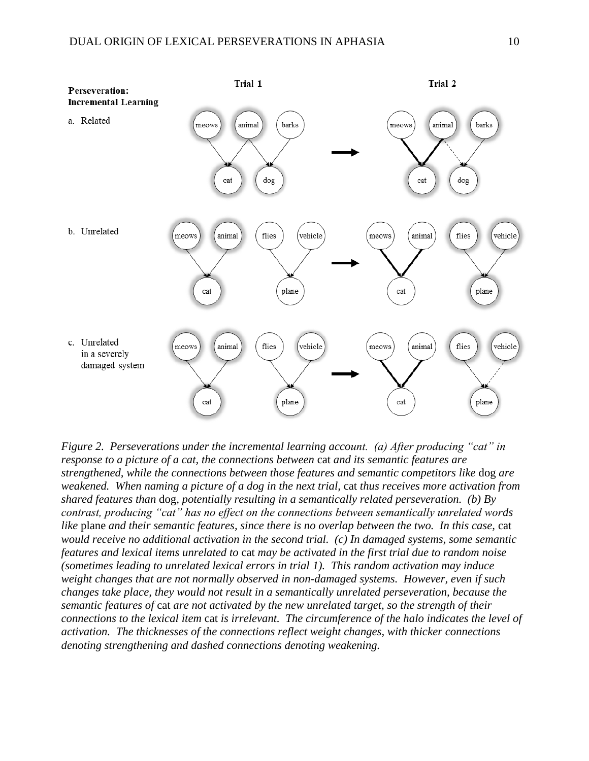

*Figure 2. Perseverations under the incremental learning account. (a) After producing "cat" in response to a picture of a cat, the connections between* cat *and its semantic features are strengthened, while the connections between those features and semantic competitors like* dog *are weakened. When naming a picture of a dog in the next trial,* cat *thus receives more activation from shared features than* dog*, potentially resulting in a semantically related perseveration. (b) By contrast, producing "cat" has no effect on the connections between semantically unrelated words like* plane *and their semantic features, since there is no overlap between the two. In this case,* cat *would receive no additional activation in the second trial. (c) In damaged systems, some semantic features and lexical items unrelated to* cat *may be activated in the first trial due to random noise (sometimes leading to unrelated lexical errors in trial 1). This random activation may induce weight changes that are not normally observed in non-damaged systems. However, even if such changes take place, they would not result in a semantically unrelated perseveration, because the semantic features of* cat *are not activated by the new unrelated target, so the strength of their connections to the lexical item* cat *is irrelevant. The circumference of the halo indicates the level of activation. The thicknesses of the connections reflect weight changes, with thicker connections denoting strengthening and dashed connections denoting weakening.*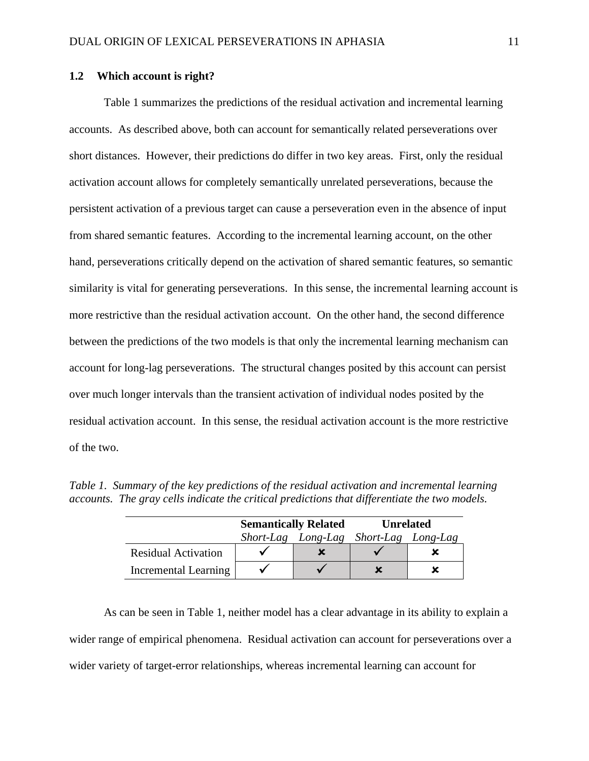# **1.2 Which account is right?**

Table 1 summarizes the predictions of the residual activation and incremental learning accounts. As described above, both can account for semantically related perseverations over short distances. However, their predictions do differ in two key areas. First, only the residual activation account allows for completely semantically unrelated perseverations, because the persistent activation of a previous target can cause a perseveration even in the absence of input from shared semantic features. According to the incremental learning account, on the other hand, perseverations critically depend on the activation of shared semantic features, so semantic similarity is vital for generating perseverations. In this sense, the incremental learning account is more restrictive than the residual activation account. On the other hand, the second difference between the predictions of the two models is that only the incremental learning mechanism can account for long-lag perseverations. The structural changes posited by this account can persist over much longer intervals than the transient activation of individual nodes posited by the residual activation account. In this sense, the residual activation account is the more restrictive of the two.

|                            | <b>Semantically Related</b> |                    | <b>Unrelated</b>   |  |  |
|----------------------------|-----------------------------|--------------------|--------------------|--|--|
|                            |                             | Short-Lag Long-Lag | Short-Lag Long-Lag |  |  |
| <b>Residual Activation</b> |                             |                    |                    |  |  |
| Incremental Learning       |                             |                    |                    |  |  |

*Table 1. Summary of the key predictions of the residual activation and incremental learning accounts. The gray cells indicate the critical predictions that differentiate the two models.*

As can be seen in Table 1, neither model has a clear advantage in its ability to explain a wider range of empirical phenomena. Residual activation can account for perseverations over a wider variety of target-error relationships, whereas incremental learning can account for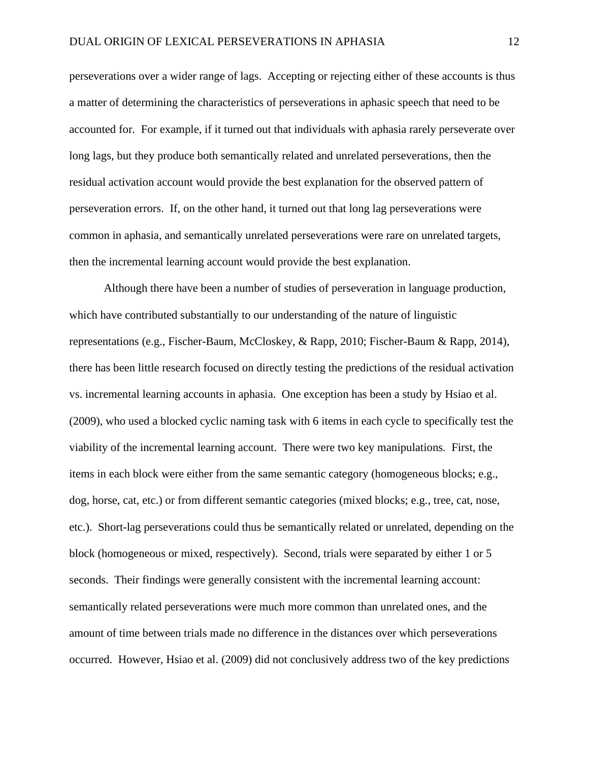perseverations over a wider range of lags. Accepting or rejecting either of these accounts is thus a matter of determining the characteristics of perseverations in aphasic speech that need to be accounted for. For example, if it turned out that individuals with aphasia rarely perseverate over long lags, but they produce both semantically related and unrelated perseverations, then the residual activation account would provide the best explanation for the observed pattern of perseveration errors. If, on the other hand, it turned out that long lag perseverations were common in aphasia, and semantically unrelated perseverations were rare on unrelated targets, then the incremental learning account would provide the best explanation.

Although there have been a number of studies of perseveration in language production, which have contributed substantially to our understanding of the nature of linguistic representations (e.g., Fischer-Baum, McCloskey, & Rapp, 2010; Fischer-Baum & Rapp, 2014), there has been little research focused on directly testing the predictions of the residual activation vs. incremental learning accounts in aphasia. One exception has been a study by Hsiao et al. (2009), who used a blocked cyclic naming task with 6 items in each cycle to specifically test the viability of the incremental learning account. There were two key manipulations. First, the items in each block were either from the same semantic category (homogeneous blocks; e.g., dog, horse, cat, etc.) or from different semantic categories (mixed blocks; e.g., tree, cat, nose, etc.). Short-lag perseverations could thus be semantically related or unrelated, depending on the block (homogeneous or mixed, respectively). Second, trials were separated by either 1 or 5 seconds. Their findings were generally consistent with the incremental learning account: semantically related perseverations were much more common than unrelated ones, and the amount of time between trials made no difference in the distances over which perseverations occurred. However, Hsiao et al. (2009) did not conclusively address two of the key predictions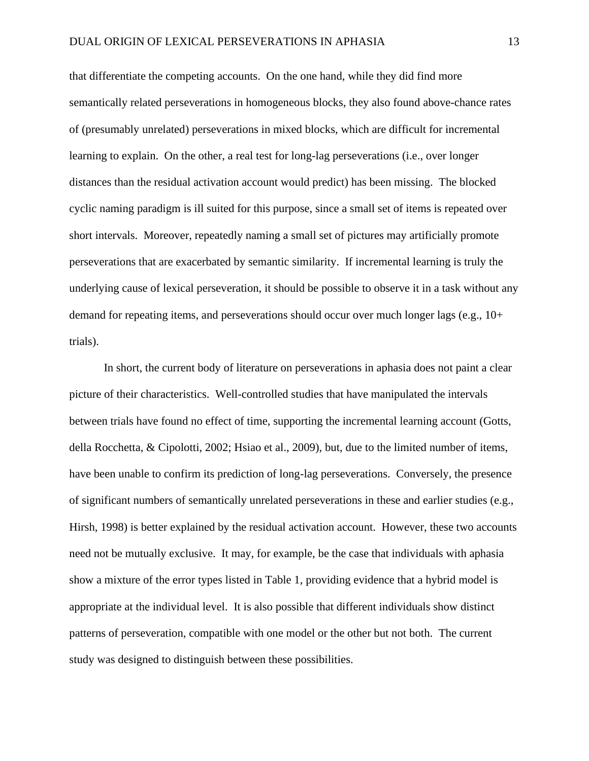that differentiate the competing accounts. On the one hand, while they did find more semantically related perseverations in homogeneous blocks, they also found above-chance rates of (presumably unrelated) perseverations in mixed blocks, which are difficult for incremental learning to explain. On the other, a real test for long-lag perseverations (i.e., over longer distances than the residual activation account would predict) has been missing. The blocked cyclic naming paradigm is ill suited for this purpose, since a small set of items is repeated over short intervals. Moreover, repeatedly naming a small set of pictures may artificially promote perseverations that are exacerbated by semantic similarity. If incremental learning is truly the underlying cause of lexical perseveration, it should be possible to observe it in a task without any demand for repeating items, and perseverations should occur over much longer lags (e.g.,  $10+$ trials).

In short, the current body of literature on perseverations in aphasia does not paint a clear picture of their characteristics. Well-controlled studies that have manipulated the intervals between trials have found no effect of time, supporting the incremental learning account (Gotts, della Rocchetta, & Cipolotti, 2002; Hsiao et al., 2009), but, due to the limited number of items, have been unable to confirm its prediction of long-lag perseverations. Conversely, the presence of significant numbers of semantically unrelated perseverations in these and earlier studies (e.g., Hirsh, 1998) is better explained by the residual activation account. However, these two accounts need not be mutually exclusive. It may, for example, be the case that individuals with aphasia show a mixture of the error types listed in Table 1, providing evidence that a hybrid model is appropriate at the individual level. It is also possible that different individuals show distinct patterns of perseveration, compatible with one model or the other but not both. The current study was designed to distinguish between these possibilities.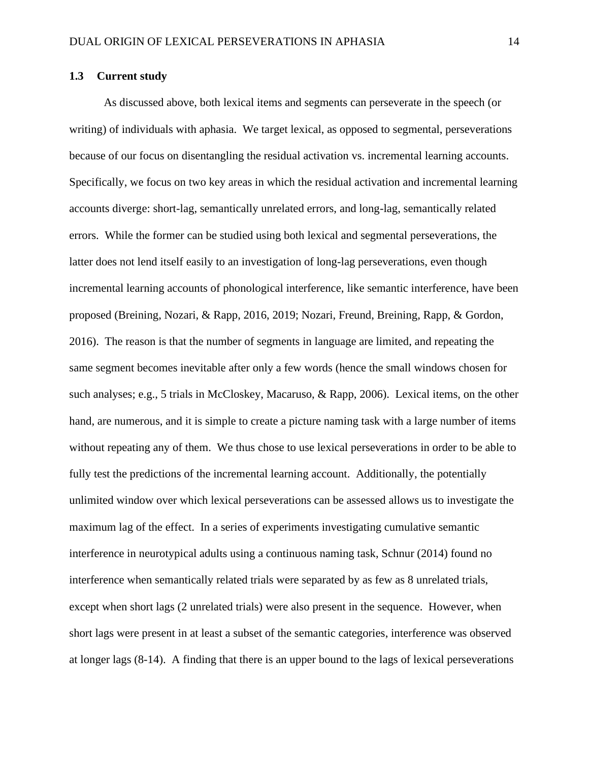## **1.3 Current study**

As discussed above, both lexical items and segments can perseverate in the speech (or writing) of individuals with aphasia. We target lexical, as opposed to segmental, perseverations because of our focus on disentangling the residual activation vs. incremental learning accounts. Specifically, we focus on two key areas in which the residual activation and incremental learning accounts diverge: short-lag, semantically unrelated errors, and long-lag, semantically related errors. While the former can be studied using both lexical and segmental perseverations, the latter does not lend itself easily to an investigation of long-lag perseverations, even though incremental learning accounts of phonological interference, like semantic interference, have been proposed (Breining, Nozari, & Rapp, 2016, 2019; Nozari, Freund, Breining, Rapp, & Gordon, 2016). The reason is that the number of segments in language are limited, and repeating the same segment becomes inevitable after only a few words (hence the small windows chosen for such analyses; e.g., 5 trials in McCloskey, Macaruso, & Rapp, 2006). Lexical items, on the other hand, are numerous, and it is simple to create a picture naming task with a large number of items without repeating any of them. We thus chose to use lexical perseverations in order to be able to fully test the predictions of the incremental learning account. Additionally, the potentially unlimited window over which lexical perseverations can be assessed allows us to investigate the maximum lag of the effect. In a series of experiments investigating cumulative semantic interference in neurotypical adults using a continuous naming task, Schnur (2014) found no interference when semantically related trials were separated by as few as 8 unrelated trials, except when short lags (2 unrelated trials) were also present in the sequence. However, when short lags were present in at least a subset of the semantic categories, interference was observed at longer lags (8-14). A finding that there is an upper bound to the lags of lexical perseverations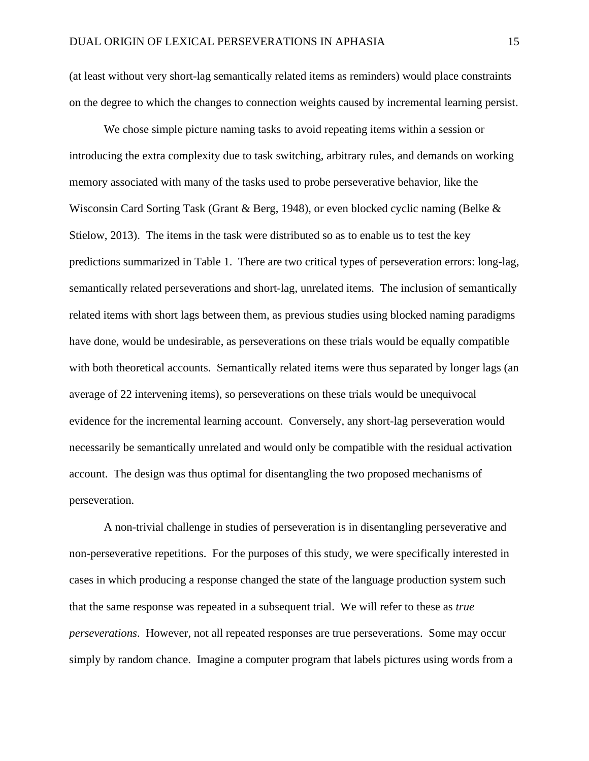(at least without very short-lag semantically related items as reminders) would place constraints on the degree to which the changes to connection weights caused by incremental learning persist.

We chose simple picture naming tasks to avoid repeating items within a session or introducing the extra complexity due to task switching, arbitrary rules, and demands on working memory associated with many of the tasks used to probe perseverative behavior, like the Wisconsin Card Sorting Task (Grant & Berg, 1948), or even blocked cyclic naming (Belke & Stielow, 2013). The items in the task were distributed so as to enable us to test the key predictions summarized in Table 1. There are two critical types of perseveration errors: long-lag, semantically related perseverations and short-lag, unrelated items. The inclusion of semantically related items with short lags between them, as previous studies using blocked naming paradigms have done, would be undesirable, as perseverations on these trials would be equally compatible with both theoretical accounts. Semantically related items were thus separated by longer lags (an average of 22 intervening items), so perseverations on these trials would be unequivocal evidence for the incremental learning account. Conversely, any short-lag perseveration would necessarily be semantically unrelated and would only be compatible with the residual activation account. The design was thus optimal for disentangling the two proposed mechanisms of perseveration.

A non-trivial challenge in studies of perseveration is in disentangling perseverative and non-perseverative repetitions. For the purposes of this study, we were specifically interested in cases in which producing a response changed the state of the language production system such that the same response was repeated in a subsequent trial. We will refer to these as *true perseverations*. However, not all repeated responses are true perseverations. Some may occur simply by random chance. Imagine a computer program that labels pictures using words from a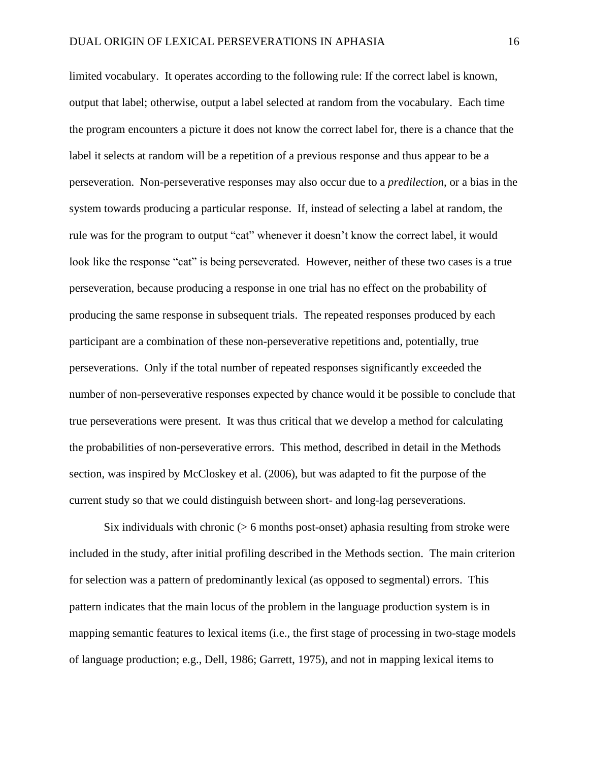limited vocabulary. It operates according to the following rule: If the correct label is known, output that label; otherwise, output a label selected at random from the vocabulary. Each time the program encounters a picture it does not know the correct label for, there is a chance that the label it selects at random will be a repetition of a previous response and thus appear to be a perseveration. Non-perseverative responses may also occur due to a *predilection*, or a bias in the system towards producing a particular response. If, instead of selecting a label at random, the rule was for the program to output "cat" whenever it doesn't know the correct label, it would look like the response "cat" is being perseverated. However, neither of these two cases is a true perseveration, because producing a response in one trial has no effect on the probability of producing the same response in subsequent trials. The repeated responses produced by each participant are a combination of these non-perseverative repetitions and, potentially, true perseverations. Only if the total number of repeated responses significantly exceeded the number of non-perseverative responses expected by chance would it be possible to conclude that true perseverations were present. It was thus critical that we develop a method for calculating the probabilities of non-perseverative errors. This method, described in detail in the Methods section, was inspired by McCloskey et al. (2006), but was adapted to fit the purpose of the current study so that we could distinguish between short- and long-lag perseverations.

Six individuals with chronic  $($  > 6 months post-onset) aphasia resulting from stroke were included in the study, after initial profiling described in the Methods section. The main criterion for selection was a pattern of predominantly lexical (as opposed to segmental) errors. This pattern indicates that the main locus of the problem in the language production system is in mapping semantic features to lexical items (i.e., the first stage of processing in two-stage models of language production; e.g., Dell, 1986; Garrett, 1975), and not in mapping lexical items to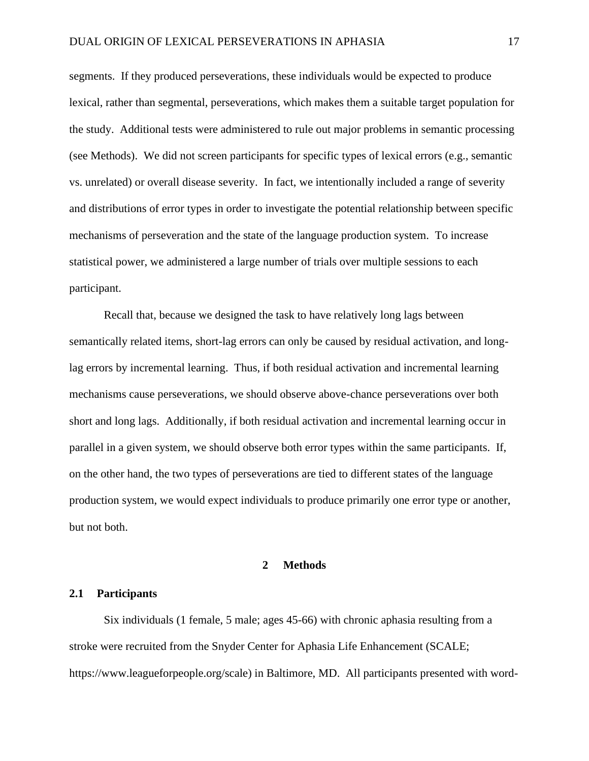segments. If they produced perseverations, these individuals would be expected to produce lexical, rather than segmental, perseverations, which makes them a suitable target population for the study. Additional tests were administered to rule out major problems in semantic processing (see Methods). We did not screen participants for specific types of lexical errors (e.g., semantic vs. unrelated) or overall disease severity. In fact, we intentionally included a range of severity and distributions of error types in order to investigate the potential relationship between specific mechanisms of perseveration and the state of the language production system. To increase statistical power, we administered a large number of trials over multiple sessions to each participant.

Recall that, because we designed the task to have relatively long lags between semantically related items, short-lag errors can only be caused by residual activation, and longlag errors by incremental learning. Thus, if both residual activation and incremental learning mechanisms cause perseverations, we should observe above-chance perseverations over both short and long lags. Additionally, if both residual activation and incremental learning occur in parallel in a given system, we should observe both error types within the same participants. If, on the other hand, the two types of perseverations are tied to different states of the language production system, we would expect individuals to produce primarily one error type or another, but not both.

## **2 Methods**

## **2.1 Participants**

Six individuals (1 female, 5 male; ages 45-66) with chronic aphasia resulting from a stroke were recruited from the Snyder Center for Aphasia Life Enhancement (SCALE; https://www.leagueforpeople.org/scale) in Baltimore, MD. All participants presented with word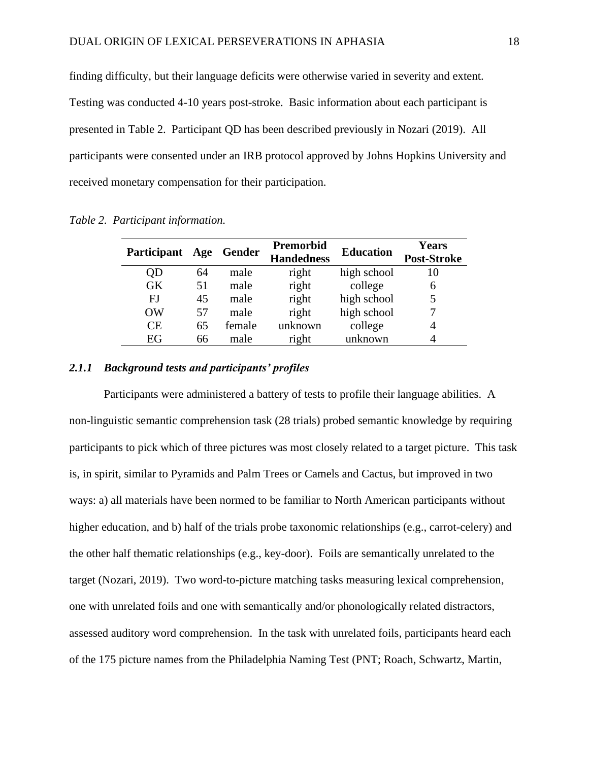finding difficulty, but their language deficits were otherwise varied in severity and extent. Testing was conducted 4-10 years post-stroke. Basic information about each participant is presented in Table 2. Participant QD has been described previously in Nozari (2019). All participants were consented under an IRB protocol approved by Johns Hopkins University and received monetary compensation for their participation.

| <b>Participant</b> | Age | Gender | Premorbid<br><b>Handedness</b> | <b>Education</b> | <b>Years</b><br>Post-Stroke |
|--------------------|-----|--------|--------------------------------|------------------|-----------------------------|
| QD                 | 64  | male   | right                          | high school      | 10                          |
| <b>GK</b>          | 51  | male   | right                          | college          | 6                           |
| ΕJ                 | 45  | male   | right                          | high school      |                             |
| OW                 | 57  | male   | right                          | high school      |                             |
| <b>CE</b>          | 65  | female | unknown                        | college          | 4                           |
| EG                 | 66  | male   | right                          | unknown          |                             |

*Table 2. Participant information.*

## *2.1.1 Background tests and participants' profiles*

Participants were administered a battery of tests to profile their language abilities. A non-linguistic semantic comprehension task (28 trials) probed semantic knowledge by requiring participants to pick which of three pictures was most closely related to a target picture. This task is, in spirit, similar to Pyramids and Palm Trees or Camels and Cactus, but improved in two ways: a) all materials have been normed to be familiar to North American participants without higher education, and b) half of the trials probe taxonomic relationships (e.g., carrot-celery) and the other half thematic relationships (e.g., key-door). Foils are semantically unrelated to the target (Nozari, 2019). Two word-to-picture matching tasks measuring lexical comprehension, one with unrelated foils and one with semantically and/or phonologically related distractors, assessed auditory word comprehension. In the task with unrelated foils, participants heard each of the 175 picture names from the Philadelphia Naming Test (PNT; Roach, Schwartz, Martin,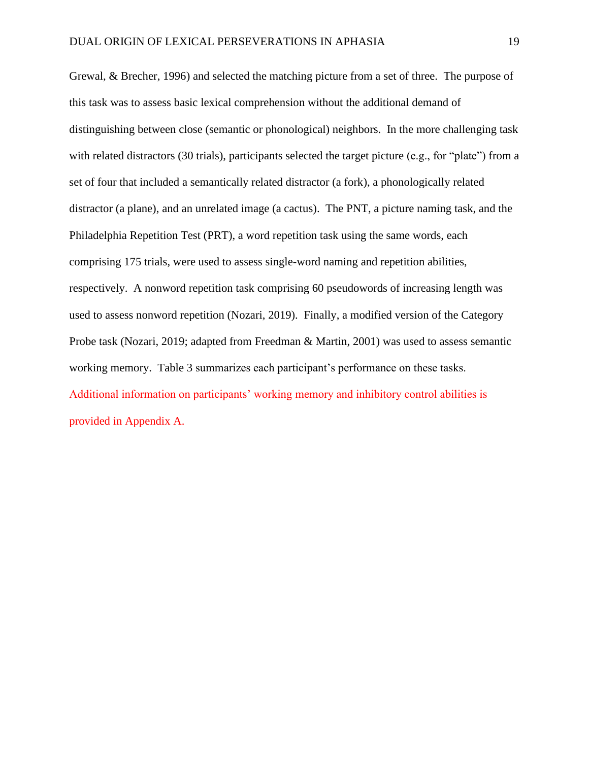Grewal, & Brecher, 1996) and selected the matching picture from a set of three. The purpose of this task was to assess basic lexical comprehension without the additional demand of distinguishing between close (semantic or phonological) neighbors. In the more challenging task with related distractors (30 trials), participants selected the target picture (e.g., for "plate") from a set of four that included a semantically related distractor (a fork), a phonologically related distractor (a plane), and an unrelated image (a cactus). The PNT, a picture naming task, and the Philadelphia Repetition Test (PRT), a word repetition task using the same words, each comprising 175 trials, were used to assess single-word naming and repetition abilities, respectively. A nonword repetition task comprising 60 pseudowords of increasing length was used to assess nonword repetition (Nozari, 2019). Finally, a modified version of the Category Probe task (Nozari, 2019; adapted from Freedman & Martin, 2001) was used to assess semantic working memory. Table 3 summarizes each participant's performance on these tasks. Additional information on participants' working memory and inhibitory control abilities is provided in Appendix A.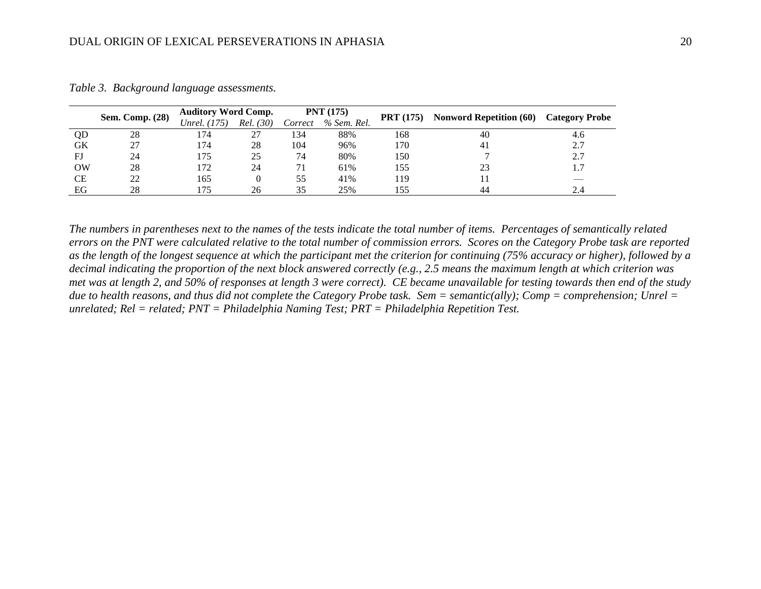| Sem. Comp. (28) | <b>Auditory Word Comp.</b> |              | PNT(175)  |         | <b>PRT</b> (175) |     | <b>Category Probe</b>          |     |  |
|-----------------|----------------------------|--------------|-----------|---------|------------------|-----|--------------------------------|-----|--|
|                 |                            | Unrel. (175) | Rel. (30) | Correct | % Sem. Rel.      |     | <b>Nonword Repetition (60)</b> |     |  |
| QD              | 28                         | 174          |           | 134     | 88%              | 168 | 40                             | 4.6 |  |
| <b>GK</b>       |                            | 174          | 28        | 104     | 96%              | 170 | 41                             | 2.7 |  |
| FJ              | 24                         | 175          | 25        | 74      | 80%              | 150 |                                | 2.7 |  |
| OW              | 28                         | 172          | 24        | 71      | 61%              | 155 | 23                             | 1.7 |  |
| <b>CE</b>       | 22                         | 165          |           | 55      | 41%              | 19  |                                |     |  |
| EG              | 28                         | 175          | 26        | 35      | 25%              | 155 | 44                             | 2.4 |  |

*Table 3. Background language assessments.*

*The numbers in parentheses next to the names of the tests indicate the total number of items. Percentages of semantically related errors on the PNT were calculated relative to the total number of commission errors. Scores on the Category Probe task are reported as the length of the longest sequence at which the participant met the criterion for continuing (75% accuracy or higher), followed by a decimal indicating the proportion of the next block answered correctly (e.g., 2.5 means the maximum length at which criterion was met was at length 2, and 50% of responses at length 3 were correct). CE became unavailable for testing towards then end of the study due to health reasons, and thus did not complete the Category Probe task. Sem = semantic(ally); Comp = comprehension; Unrel = unrelated; Rel = related; PNT = Philadelphia Naming Test; PRT = Philadelphia Repetition Test.*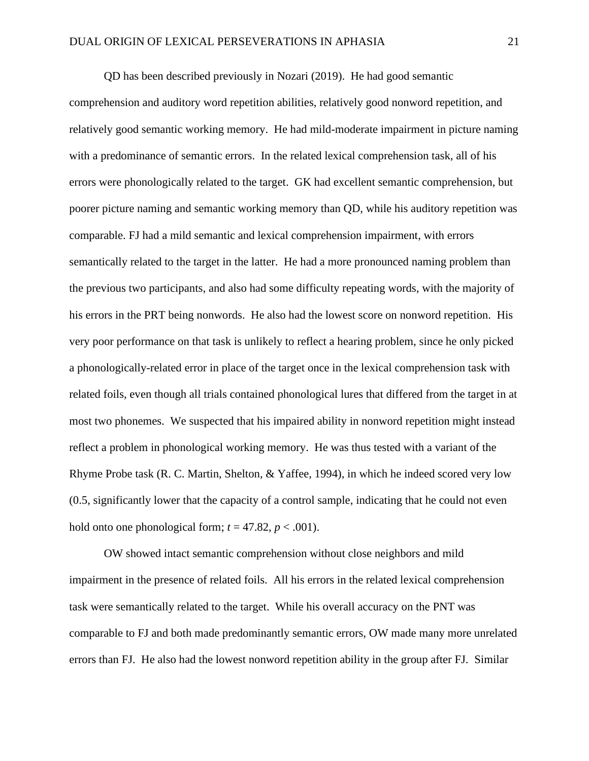QD has been described previously in Nozari (2019). He had good semantic comprehension and auditory word repetition abilities, relatively good nonword repetition, and relatively good semantic working memory. He had mild-moderate impairment in picture naming with a predominance of semantic errors. In the related lexical comprehension task, all of his errors were phonologically related to the target. GK had excellent semantic comprehension, but poorer picture naming and semantic working memory than QD, while his auditory repetition was comparable. FJ had a mild semantic and lexical comprehension impairment, with errors semantically related to the target in the latter. He had a more pronounced naming problem than the previous two participants, and also had some difficulty repeating words, with the majority of his errors in the PRT being nonwords. He also had the lowest score on nonword repetition. His very poor performance on that task is unlikely to reflect a hearing problem, since he only picked a phonologically-related error in place of the target once in the lexical comprehension task with related foils, even though all trials contained phonological lures that differed from the target in at most two phonemes. We suspected that his impaired ability in nonword repetition might instead reflect a problem in phonological working memory. He was thus tested with a variant of the Rhyme Probe task (R. C. Martin, Shelton, & Yaffee, 1994), in which he indeed scored very low (0.5, significantly lower that the capacity of a control sample, indicating that he could not even hold onto one phonological form;  $t = 47.82$ ,  $p < .001$ ).

OW showed intact semantic comprehension without close neighbors and mild impairment in the presence of related foils. All his errors in the related lexical comprehension task were semantically related to the target. While his overall accuracy on the PNT was comparable to FJ and both made predominantly semantic errors, OW made many more unrelated errors than FJ. He also had the lowest nonword repetition ability in the group after FJ. Similar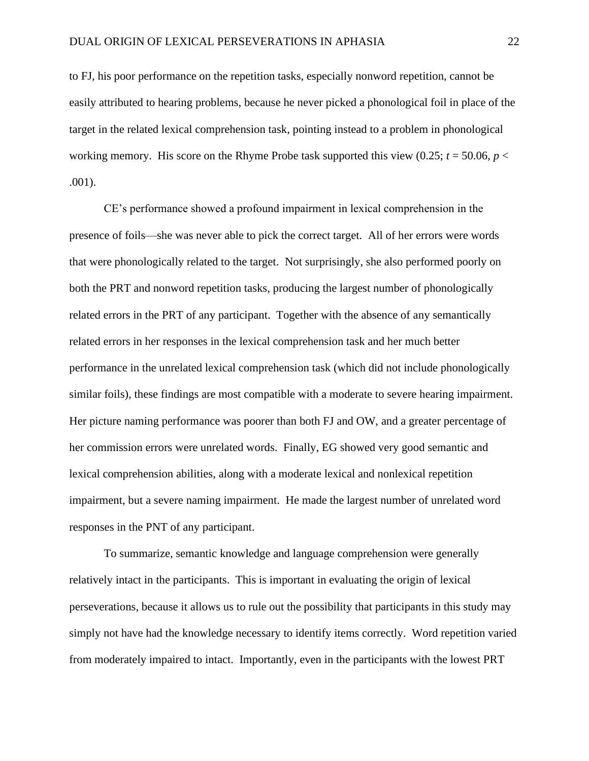to FJ, his poor performance on the repetition tasks, especially nonword repetition, cannot be easily attributed to hearing problems, because he never picked a phonological foil in place of the target in the related lexical comprehension task, pointing instead to a problem in phonological working memory. His score on the Rhyme Probe task supported this view  $(0.25; t = 50.06, p <$ .001).

CE's performance showed a profound impairment in lexical comprehension in the presence of foils—she was never able to pick the correct target. All of her errors were words that were phonologically related to the target. Not surprisingly, she also performed poorly on both the PRT and nonword repetition tasks, producing the largest number of phonologically related errors in the PRT of any participant. Together with the absence of any semantically related errors in her responses in the lexical comprehension task and her much better performance in the unrelated lexical comprehension task (which did not include phonologically similar foils), these findings are most compatible with a moderate to severe hearing impairment. Her picture naming performance was poorer than both FJ and OW, and a greater percentage of her commission errors were unrelated words. Finally, EG showed very good semantic and lexical comprehension abilities, along with a moderate lexical and nonlexical repetition impairment, but a severe naming impairment. He made the largest number of unrelated word responses in the PNT of any participant.

To summarize, semantic knowledge and language comprehension were generally relatively intact in the participants. This is important in evaluating the origin of lexical perseverations, because it allows us to rule out the possibility that participants in this study may simply not have had the knowledge necessary to identify items correctly. Word repetition varied from moderately impaired to intact. Importantly, even in the participants with the lowest PRT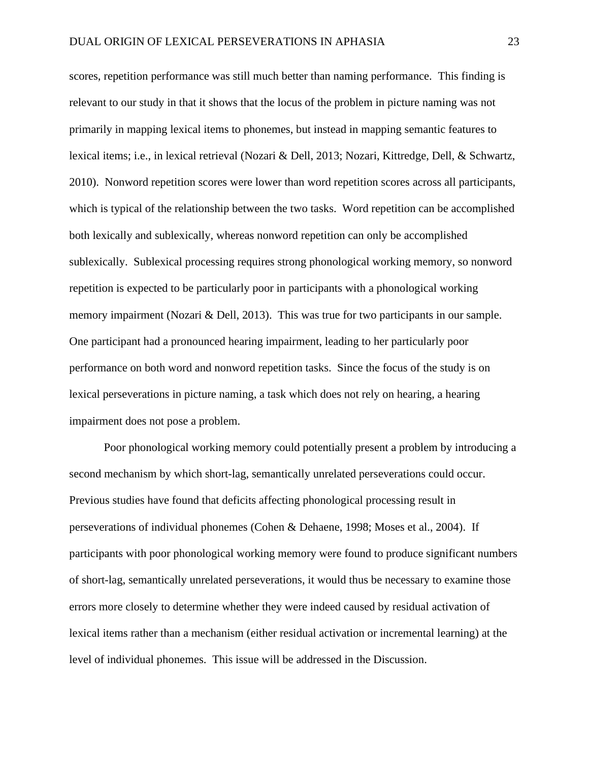scores, repetition performance was still much better than naming performance. This finding is relevant to our study in that it shows that the locus of the problem in picture naming was not primarily in mapping lexical items to phonemes, but instead in mapping semantic features to lexical items; i.e., in lexical retrieval (Nozari & Dell, 2013; Nozari, Kittredge, Dell, & Schwartz, 2010). Nonword repetition scores were lower than word repetition scores across all participants, which is typical of the relationship between the two tasks. Word repetition can be accomplished both lexically and sublexically, whereas nonword repetition can only be accomplished sublexically. Sublexical processing requires strong phonological working memory, so nonword repetition is expected to be particularly poor in participants with a phonological working memory impairment (Nozari & Dell, 2013). This was true for two participants in our sample. One participant had a pronounced hearing impairment, leading to her particularly poor performance on both word and nonword repetition tasks. Since the focus of the study is on lexical perseverations in picture naming, a task which does not rely on hearing, a hearing impairment does not pose a problem.

Poor phonological working memory could potentially present a problem by introducing a second mechanism by which short-lag, semantically unrelated perseverations could occur. Previous studies have found that deficits affecting phonological processing result in perseverations of individual phonemes (Cohen & Dehaene, 1998; Moses et al., 2004). If participants with poor phonological working memory were found to produce significant numbers of short-lag, semantically unrelated perseverations, it would thus be necessary to examine those errors more closely to determine whether they were indeed caused by residual activation of lexical items rather than a mechanism (either residual activation or incremental learning) at the level of individual phonemes. This issue will be addressed in the Discussion.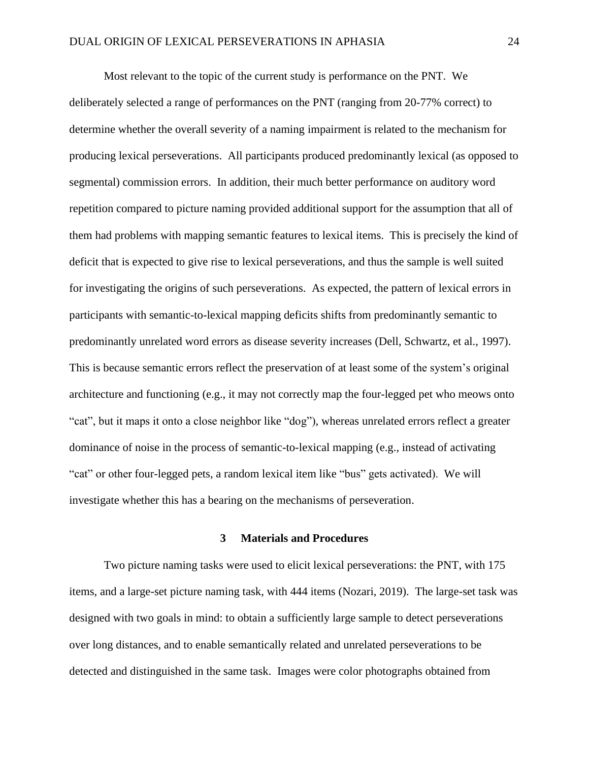Most relevant to the topic of the current study is performance on the PNT. We deliberately selected a range of performances on the PNT (ranging from 20-77% correct) to determine whether the overall severity of a naming impairment is related to the mechanism for producing lexical perseverations. All participants produced predominantly lexical (as opposed to segmental) commission errors. In addition, their much better performance on auditory word repetition compared to picture naming provided additional support for the assumption that all of them had problems with mapping semantic features to lexical items. This is precisely the kind of deficit that is expected to give rise to lexical perseverations, and thus the sample is well suited for investigating the origins of such perseverations. As expected, the pattern of lexical errors in participants with semantic-to-lexical mapping deficits shifts from predominantly semantic to predominantly unrelated word errors as disease severity increases (Dell, Schwartz, et al., 1997). This is because semantic errors reflect the preservation of at least some of the system's original architecture and functioning (e.g., it may not correctly map the four-legged pet who meows onto "cat", but it maps it onto a close neighbor like "dog"), whereas unrelated errors reflect a greater dominance of noise in the process of semantic-to-lexical mapping (e.g., instead of activating "cat" or other four-legged pets, a random lexical item like "bus" gets activated). We will investigate whether this has a bearing on the mechanisms of perseveration.

## **3 Materials and Procedures**

Two picture naming tasks were used to elicit lexical perseverations: the PNT, with 175 items, and a large-set picture naming task, with 444 items (Nozari, 2019). The large-set task was designed with two goals in mind: to obtain a sufficiently large sample to detect perseverations over long distances, and to enable semantically related and unrelated perseverations to be detected and distinguished in the same task. Images were color photographs obtained from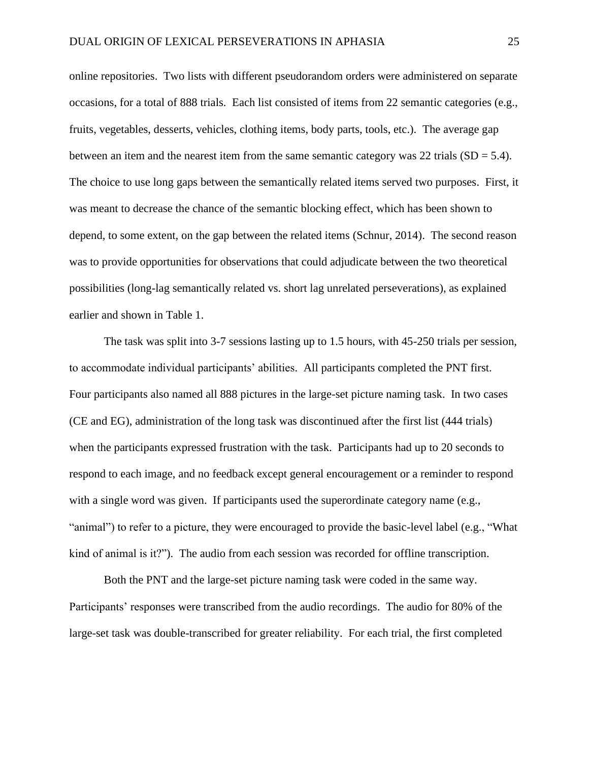online repositories. Two lists with different pseudorandom orders were administered on separate occasions, for a total of 888 trials. Each list consisted of items from 22 semantic categories (e.g., fruits, vegetables, desserts, vehicles, clothing items, body parts, tools, etc.). The average gap between an item and the nearest item from the same semantic category was 22 trials  $(SD = 5.4)$ . The choice to use long gaps between the semantically related items served two purposes. First, it was meant to decrease the chance of the semantic blocking effect, which has been shown to depend, to some extent, on the gap between the related items (Schnur, 2014). The second reason was to provide opportunities for observations that could adjudicate between the two theoretical possibilities (long-lag semantically related vs. short lag unrelated perseverations), as explained earlier and shown in Table 1.

The task was split into 3-7 sessions lasting up to 1.5 hours, with 45-250 trials per session, to accommodate individual participants' abilities. All participants completed the PNT first. Four participants also named all 888 pictures in the large-set picture naming task. In two cases (CE and EG), administration of the long task was discontinued after the first list (444 trials) when the participants expressed frustration with the task. Participants had up to 20 seconds to respond to each image, and no feedback except general encouragement or a reminder to respond with a single word was given. If participants used the superordinate category name (e.g., "animal") to refer to a picture, they were encouraged to provide the basic-level label (e.g., "What kind of animal is it?"). The audio from each session was recorded for offline transcription.

Both the PNT and the large-set picture naming task were coded in the same way. Participants' responses were transcribed from the audio recordings. The audio for 80% of the large-set task was double-transcribed for greater reliability. For each trial, the first completed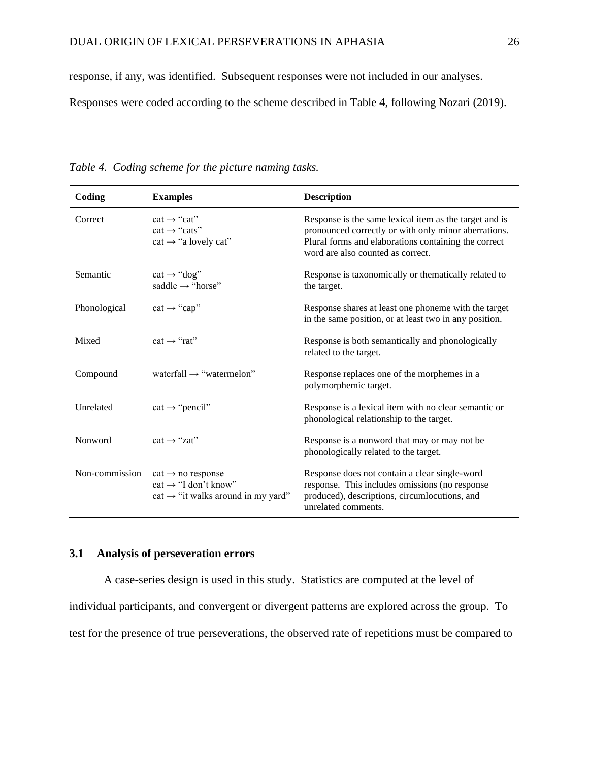response, if any, was identified. Subsequent responses were not included in our analyses.

Responses were coded according to the scheme described in Table 4, following Nozari (2019).

| Coding         | <b>Examples</b>                                                                                                     | <b>Description</b>                                                                                                                                                                                          |
|----------------|---------------------------------------------------------------------------------------------------------------------|-------------------------------------------------------------------------------------------------------------------------------------------------------------------------------------------------------------|
| Correct        | $cat \rightarrow "cat"$<br>$cat \rightarrow "cats"$<br>$cat \rightarrow "a$ lovely cat"                             | Response is the same lexical item as the target and is<br>pronounced correctly or with only minor aberrations.<br>Plural forms and elaborations containing the correct<br>word are also counted as correct. |
| Semantic       | $cat \rightarrow "dog"$<br>saddle $\rightarrow$ "horse"                                                             | Response is taxonomically or thematically related to<br>the target.                                                                                                                                         |
| Phonological   | $cat \rightarrow "cap"$                                                                                             | Response shares at least one phoneme with the target<br>in the same position, or at least two in any position.                                                                                              |
| Mixed          | $cat \rightarrow "rat"$                                                                                             | Response is both semantically and phonologically<br>related to the target.                                                                                                                                  |
| Compound       | waterfall $\rightarrow$ "watermelon"                                                                                | Response replaces one of the morphemes in a<br>polymorphemic target.                                                                                                                                        |
| Unrelated      | $cat \rightarrow "pencil"$                                                                                          | Response is a lexical item with no clear semantic or<br>phonological relationship to the target.                                                                                                            |
| Nonword        | $cat \rightarrow "zat"$                                                                                             | Response is a nonword that may or may not be<br>phonologically related to the target.                                                                                                                       |
| Non-commission | $cat \rightarrow no$ response<br>$cat \rightarrow 'I$ don't know"<br>$cat \rightarrow$ "it walks around in my yard" | Response does not contain a clear single-word<br>response. This includes omissions (no response<br>produced), descriptions, circumlocutions, and<br>unrelated comments.                                     |

*Table 4. Coding scheme for the picture naming tasks.*

# **3.1 Analysis of perseveration errors**

A case-series design is used in this study. Statistics are computed at the level of individual participants, and convergent or divergent patterns are explored across the group. To test for the presence of true perseverations, the observed rate of repetitions must be compared to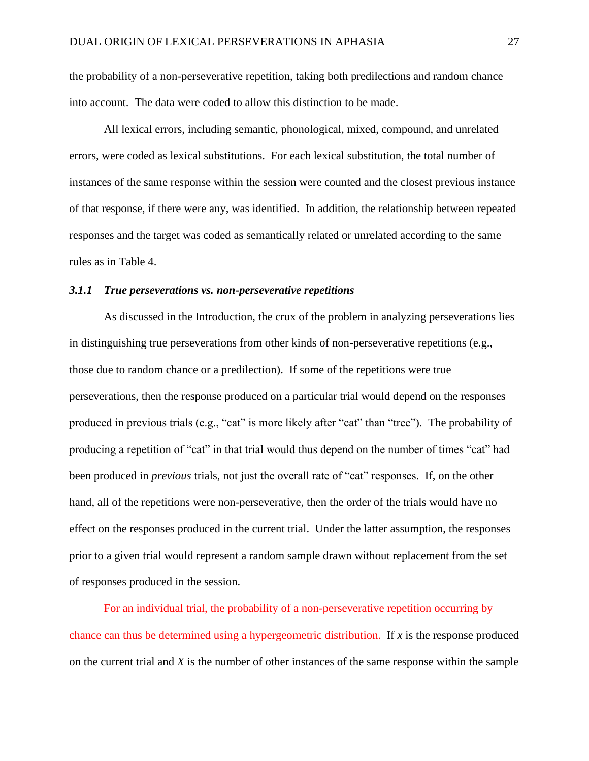the probability of a non-perseverative repetition, taking both predilections and random chance into account. The data were coded to allow this distinction to be made.

All lexical errors, including semantic, phonological, mixed, compound, and unrelated errors, were coded as lexical substitutions. For each lexical substitution, the total number of instances of the same response within the session were counted and the closest previous instance of that response, if there were any, was identified. In addition, the relationship between repeated responses and the target was coded as semantically related or unrelated according to the same rules as in Table 4.

## *3.1.1 True perseverations vs. non-perseverative repetitions*

As discussed in the Introduction, the crux of the problem in analyzing perseverations lies in distinguishing true perseverations from other kinds of non-perseverative repetitions (e.g., those due to random chance or a predilection). If some of the repetitions were true perseverations, then the response produced on a particular trial would depend on the responses produced in previous trials (e.g., "cat" is more likely after "cat" than "tree"). The probability of producing a repetition of "cat" in that trial would thus depend on the number of times "cat" had been produced in *previous* trials, not just the overall rate of "cat" responses. If, on the other hand, all of the repetitions were non-perseverative, then the order of the trials would have no effect on the responses produced in the current trial. Under the latter assumption, the responses prior to a given trial would represent a random sample drawn without replacement from the set of responses produced in the session.

For an individual trial, the probability of a non-perseverative repetition occurring by chance can thus be determined using a hypergeometric distribution. If *x* is the response produced on the current trial and *X* is the number of other instances of the same response within the sample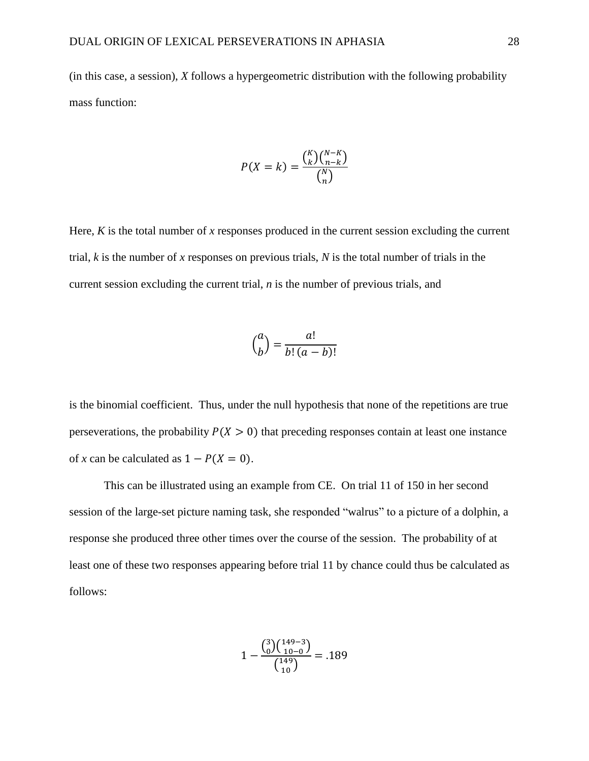(in this case, a session), *X* follows a hypergeometric distribution with the following probability mass function:

$$
P(X = k) = \frac{\binom{k}{k}\binom{N-k}{n-k}}{\binom{N}{n}}
$$

Here, *K* is the total number of *x* responses produced in the current session excluding the current trial, *k* is the number of *x* responses on previous trials, *N* is the total number of trials in the current session excluding the current trial, *n* is the number of previous trials, and

$$
\binom{a}{b} = \frac{a!}{b!(a-b)!}
$$

is the binomial coefficient. Thus, under the null hypothesis that none of the repetitions are true perseverations, the probability  $P(X > 0)$  that preceding responses contain at least one instance of *x* can be calculated as  $1 - P(X = 0)$ .

This can be illustrated using an example from CE. On trial 11 of 150 in her second session of the large-set picture naming task, she responded "walrus" to a picture of a dolphin, a response she produced three other times over the course of the session. The probability of at least one of these two responses appearing before trial 11 by chance could thus be calculated as follows:

$$
1 - \frac{\binom{3}{0}\binom{149-3}{10-0}}{\binom{149}{10}} = .189
$$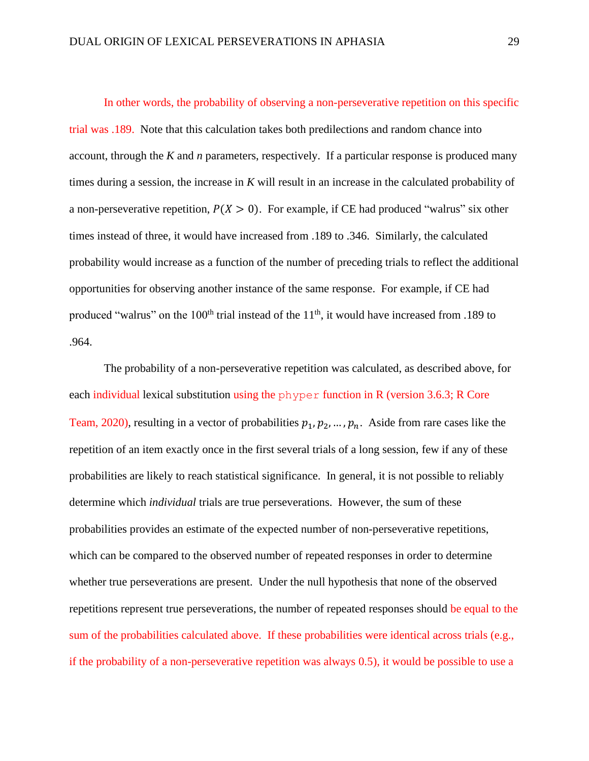In other words, the probability of observing a non-perseverative repetition on this specific trial was .189. Note that this calculation takes both predilections and random chance into account, through the *K* and *n* parameters, respectively. If a particular response is produced many times during a session, the increase in *K* will result in an increase in the calculated probability of a non-perseverative repetition,  $P(X > 0)$ . For example, if CE had produced "walrus" six other times instead of three, it would have increased from .189 to .346. Similarly, the calculated probability would increase as a function of the number of preceding trials to reflect the additional opportunities for observing another instance of the same response. For example, if CE had produced "walrus" on the  $100<sup>th</sup>$  trial instead of the  $11<sup>th</sup>$ , it would have increased from .189 to .964.

The probability of a non-perseverative repetition was calculated, as described above, for each individual lexical substitution using the phyper function in R (version 3.6.3; R Core Team, 2020), resulting in a vector of probabilities  $p_1, p_2, ..., p_n$ . Aside from rare cases like the repetition of an item exactly once in the first several trials of a long session, few if any of these probabilities are likely to reach statistical significance. In general, it is not possible to reliably determine which *individual* trials are true perseverations. However, the sum of these probabilities provides an estimate of the expected number of non-perseverative repetitions, which can be compared to the observed number of repeated responses in order to determine whether true perseverations are present. Under the null hypothesis that none of the observed repetitions represent true perseverations, the number of repeated responses should be equal to the sum of the probabilities calculated above. If these probabilities were identical across trials (e.g., if the probability of a non-perseverative repetition was always 0.5), it would be possible to use a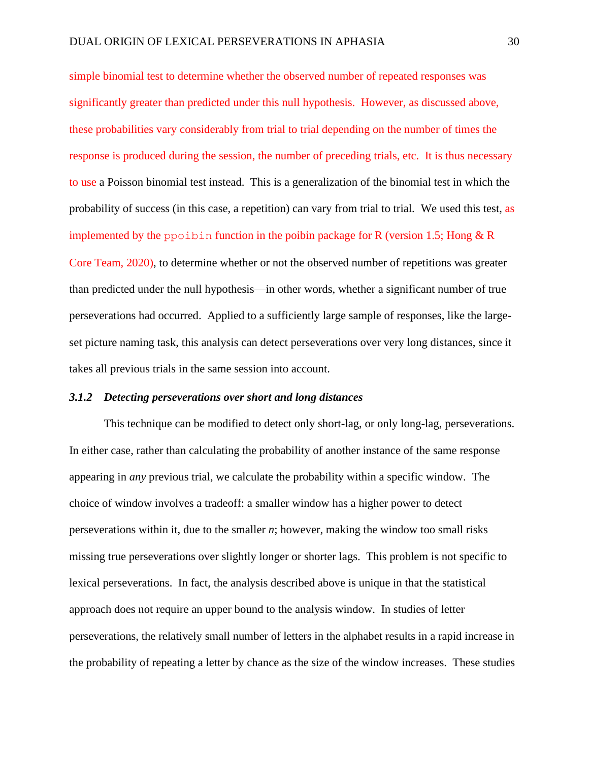simple binomial test to determine whether the observed number of repeated responses was significantly greater than predicted under this null hypothesis. However, as discussed above, these probabilities vary considerably from trial to trial depending on the number of times the response is produced during the session, the number of preceding trials, etc. It is thus necessary to use a Poisson binomial test instead. This is a generalization of the binomial test in which the probability of success (in this case, a repetition) can vary from trial to trial. We used this test, as implemented by the ppoibin function in the poibin package for R (version 1.5; Hong  $& R$ Core Team, 2020), to determine whether or not the observed number of repetitions was greater than predicted under the null hypothesis—in other words, whether a significant number of true perseverations had occurred. Applied to a sufficiently large sample of responses, like the largeset picture naming task, this analysis can detect perseverations over very long distances, since it takes all previous trials in the same session into account.

# *3.1.2 Detecting perseverations over short and long distances*

This technique can be modified to detect only short-lag, or only long-lag, perseverations. In either case, rather than calculating the probability of another instance of the same response appearing in *any* previous trial, we calculate the probability within a specific window. The choice of window involves a tradeoff: a smaller window has a higher power to detect perseverations within it, due to the smaller *n*; however, making the window too small risks missing true perseverations over slightly longer or shorter lags. This problem is not specific to lexical perseverations. In fact, the analysis described above is unique in that the statistical approach does not require an upper bound to the analysis window. In studies of letter perseverations, the relatively small number of letters in the alphabet results in a rapid increase in the probability of repeating a letter by chance as the size of the window increases. These studies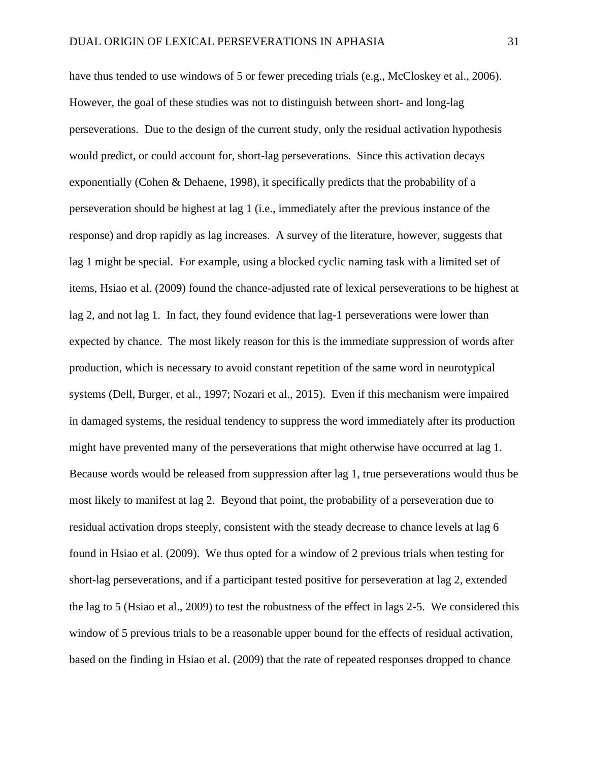have thus tended to use windows of 5 or fewer preceding trials (e.g., McCloskey et al., 2006). However, the goal of these studies was not to distinguish between short- and long-lag perseverations. Due to the design of the current study, only the residual activation hypothesis would predict, or could account for, short-lag perseverations. Since this activation decays exponentially (Cohen & Dehaene, 1998), it specifically predicts that the probability of a perseveration should be highest at lag 1 (i.e., immediately after the previous instance of the response) and drop rapidly as lag increases. A survey of the literature, however, suggests that lag 1 might be special. For example, using a blocked cyclic naming task with a limited set of items, Hsiao et al. (2009) found the chance-adjusted rate of lexical perseverations to be highest at lag 2, and not lag 1. In fact, they found evidence that lag-1 perseverations were lower than expected by chance. The most likely reason for this is the immediate suppression of words after production, which is necessary to avoid constant repetition of the same word in neurotypical systems (Dell, Burger, et al., 1997; Nozari et al., 2015). Even if this mechanism were impaired in damaged systems, the residual tendency to suppress the word immediately after its production might have prevented many of the perseverations that might otherwise have occurred at lag 1. Because words would be released from suppression after lag 1, true perseverations would thus be most likely to manifest at lag 2. Beyond that point, the probability of a perseveration due to residual activation drops steeply, consistent with the steady decrease to chance levels at lag 6 found in Hsiao et al. (2009). We thus opted for a window of 2 previous trials when testing for short-lag perseverations, and if a participant tested positive for perseveration at lag 2, extended the lag to 5 (Hsiao et al., 2009) to test the robustness of the effect in lags 2-5. We considered this window of 5 previous trials to be a reasonable upper bound for the effects of residual activation, based on the finding in Hsiao et al. (2009) that the rate of repeated responses dropped to chance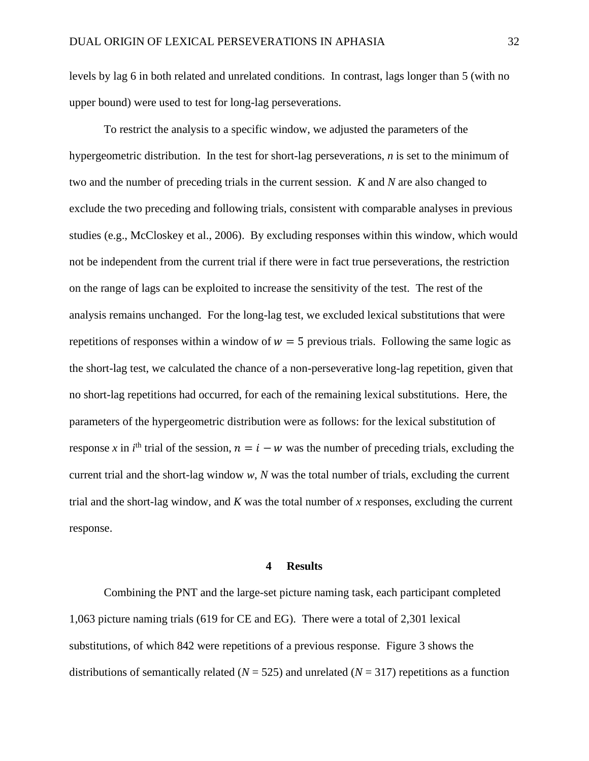levels by lag 6 in both related and unrelated conditions. In contrast, lags longer than 5 (with no upper bound) were used to test for long-lag perseverations.

To restrict the analysis to a specific window, we adjusted the parameters of the hypergeometric distribution. In the test for short-lag perseverations, *n* is set to the minimum of two and the number of preceding trials in the current session. *K* and *N* are also changed to exclude the two preceding and following trials, consistent with comparable analyses in previous studies (e.g., McCloskey et al., 2006). By excluding responses within this window, which would not be independent from the current trial if there were in fact true perseverations, the restriction on the range of lags can be exploited to increase the sensitivity of the test. The rest of the analysis remains unchanged. For the long-lag test, we excluded lexical substitutions that were repetitions of responses within a window of  $w = 5$  previous trials. Following the same logic as the short-lag test, we calculated the chance of a non-perseverative long-lag repetition, given that no short-lag repetitions had occurred, for each of the remaining lexical substitutions. Here, the parameters of the hypergeometric distribution were as follows: for the lexical substitution of response x in  $i^{\text{th}}$  trial of the session,  $n = i - w$  was the number of preceding trials, excluding the current trial and the short-lag window *w*, *N* was the total number of trials, excluding the current trial and the short-lag window, and *K* was the total number of *x* responses, excluding the current response.

#### **4 Results**

Combining the PNT and the large-set picture naming task, each participant completed 1,063 picture naming trials (619 for CE and EG). There were a total of 2,301 lexical substitutions, of which 842 were repetitions of a previous response. Figure 3 shows the distributions of semantically related ( $N = 525$ ) and unrelated ( $N = 317$ ) repetitions as a function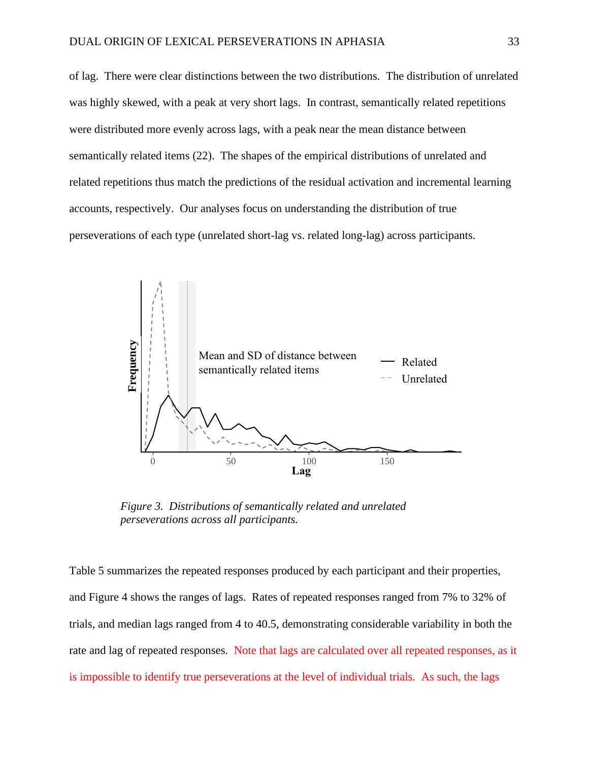of lag. There were clear distinctions between the two distributions. The distribution of unrelated was highly skewed, with a peak at very short lags. In contrast, semantically related repetitions were distributed more evenly across lags, with a peak near the mean distance between semantically related items (22). The shapes of the empirical distributions of unrelated and related repetitions thus match the predictions of the residual activation and incremental learning accounts, respectively. Our analyses focus on understanding the distribution of true perseverations of each type (unrelated short-lag vs. related long-lag) across participants.



*Figure 3. Distributions of semantically related and unrelated* 

Table 5 summarizes the repeated responses produced by each participant and their properties, and Figure 4 shows the ranges of lags. Rates of repeated responses ranged from 7% to 32% of trials, and median lags ranged from 4 to 40.5, demonstrating considerable variability in both the rate and lag of repeated responses. Note that lags are calculated over all repeated responses, as it is impossible to identify true perseverations at the level of individual trials. As such, the lags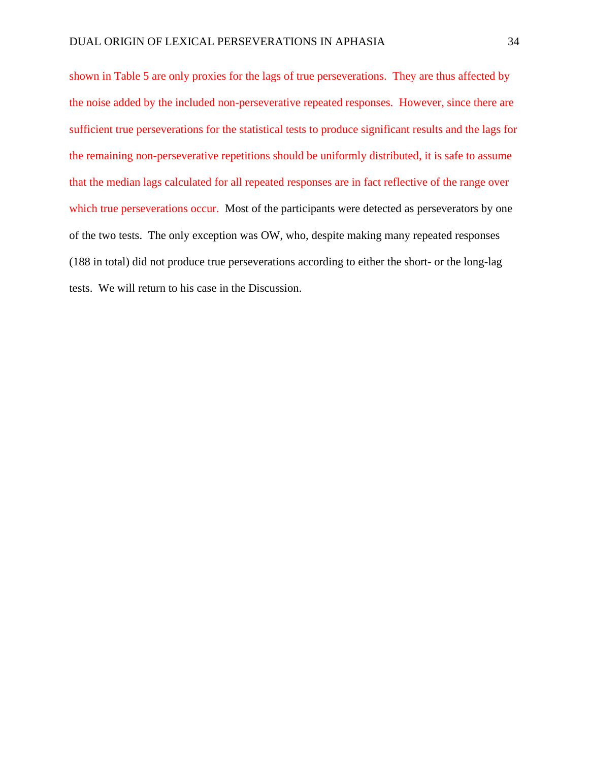shown in Table 5 are only proxies for the lags of true perseverations. They are thus affected by the noise added by the included non-perseverative repeated responses. However, since there are sufficient true perseverations for the statistical tests to produce significant results and the lags for the remaining non-perseverative repetitions should be uniformly distributed, it is safe to assume that the median lags calculated for all repeated responses are in fact reflective of the range over which true perseverations occur. Most of the participants were detected as perseverators by one of the two tests. The only exception was OW, who, despite making many repeated responses (188 in total) did not produce true perseverations according to either the short- or the long-lag tests. We will return to his case in the Discussion.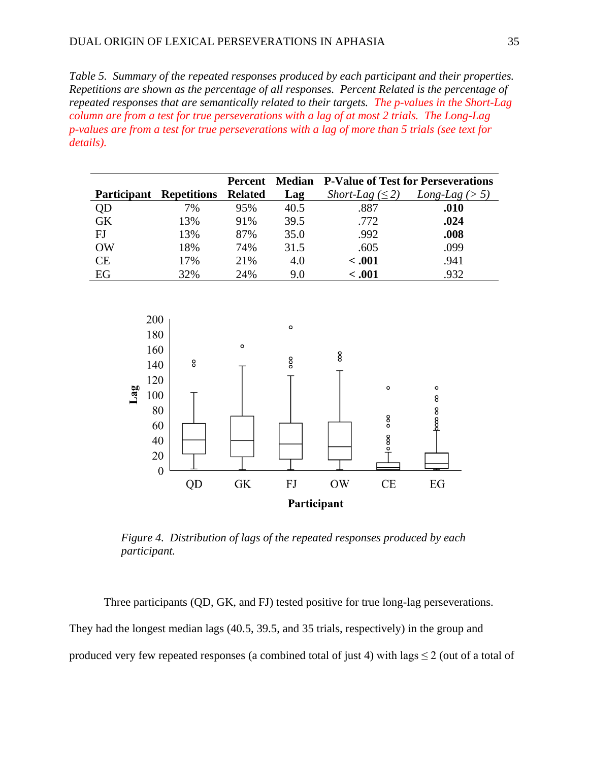*Table 5. Summary of the repeated responses produced by each participant and their properties. Repetitions are shown as the percentage of all responses. Percent Related is the percentage of repeated responses that are semantically related to their targets. The p-values in the Short-Lag column are from a test for true perseverations with a lag of at most 2 trials. The Long-Lag p-values are from a test for true perseverations with a lag of more than 5 trials (see text for details).*

|                    |                    | Percent        | <b>Median</b> | <b>P-Value of Test for Perseverations</b> |                  |  |
|--------------------|--------------------|----------------|---------------|-------------------------------------------|------------------|--|
| <b>Participant</b> | <b>Repetitions</b> | <b>Related</b> | Lag           | Short-Lag $(\leq 2)$                      | Long-Lag $(> 5)$ |  |
| QD                 | 7%                 | 95%            | 40.5          | .887                                      | .010             |  |
| <b>GK</b>          | 13%                | 91%            | 39.5          | .772                                      | .024             |  |
| FJ                 | 13%                | 87%            | 35.0          | .992                                      | .008             |  |
| <b>OW</b>          | 18%                | 74%            | 31.5          | .605                                      | .099             |  |
| CE                 | 17%                | 21%            | 4.0           | $-.001$                                   | .941             |  |
| EG                 | 32%                | 24%            | 9.0           | < .001                                    | .932             |  |



*Figure 4. Distribution of lags of the repeated responses produced by each participant.*

Three participants (QD, GK, and FJ) tested positive for true long-lag perseverations. They had the longest median lags (40.5, 39.5, and 35 trials, respectively) in the group and produced very few repeated responses (a combined total of just 4) with lags  $\leq 2$  (out of a total of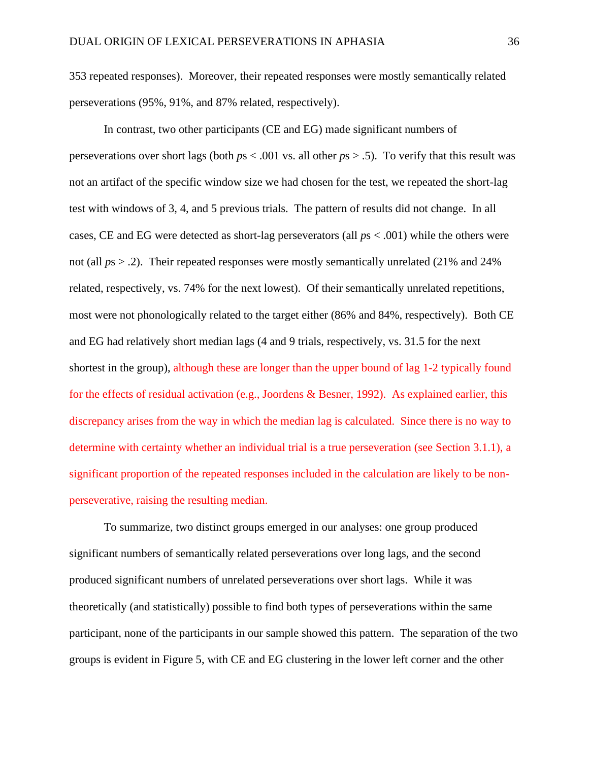353 repeated responses). Moreover, their repeated responses were mostly semantically related perseverations (95%, 91%, and 87% related, respectively).

In contrast, two other participants (CE and EG) made significant numbers of perseverations over short lags (both *p*s < .001 vs. all other *p*s > .5). To verify that this result was not an artifact of the specific window size we had chosen for the test, we repeated the short-lag test with windows of 3, 4, and 5 previous trials. The pattern of results did not change. In all cases, CE and EG were detected as short-lag perseverators (all *p*s < .001) while the others were not (all  $ps > .2$ ). Their repeated responses were mostly semantically unrelated (21% and 24%) related, respectively, vs. 74% for the next lowest). Of their semantically unrelated repetitions, most were not phonologically related to the target either (86% and 84%, respectively). Both CE and EG had relatively short median lags (4 and 9 trials, respectively, vs. 31.5 for the next shortest in the group), although these are longer than the upper bound of lag 1-2 typically found for the effects of residual activation (e.g., Joordens & Besner, 1992). As explained earlier, this discrepancy arises from the way in which the median lag is calculated. Since there is no way to determine with certainty whether an individual trial is a true perseveration (see Section 3.1.1), a significant proportion of the repeated responses included in the calculation are likely to be nonperseverative, raising the resulting median.

To summarize, two distinct groups emerged in our analyses: one group produced significant numbers of semantically related perseverations over long lags, and the second produced significant numbers of unrelated perseverations over short lags. While it was theoretically (and statistically) possible to find both types of perseverations within the same participant, none of the participants in our sample showed this pattern. The separation of the two groups is evident in Figure 5, with CE and EG clustering in the lower left corner and the other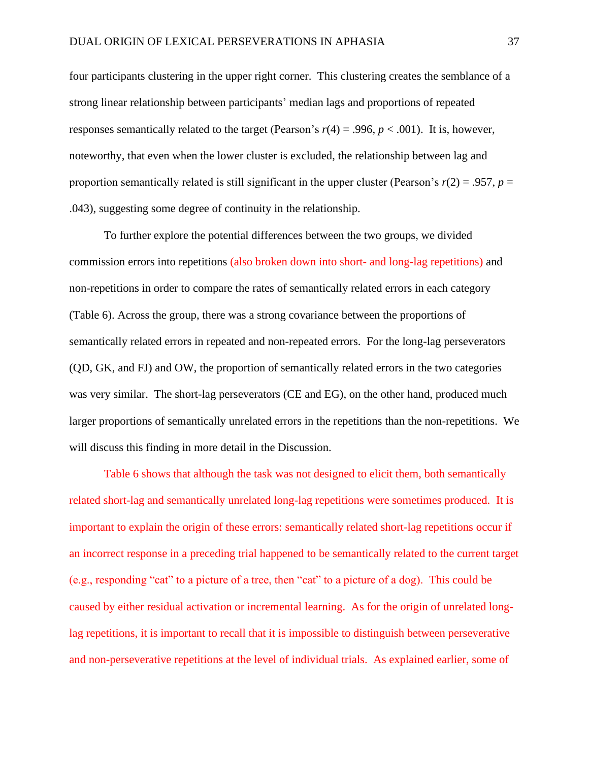four participants clustering in the upper right corner. This clustering creates the semblance of a strong linear relationship between participants' median lags and proportions of repeated responses semantically related to the target (Pearson's *r*(4) = .996, *p* < .001). It is, however, noteworthy, that even when the lower cluster is excluded, the relationship between lag and proportion semantically related is still significant in the upper cluster (Pearson's  $r(2) = .957$ ,  $p =$ .043), suggesting some degree of continuity in the relationship.

To further explore the potential differences between the two groups, we divided commission errors into repetitions (also broken down into short- and long-lag repetitions) and non-repetitions in order to compare the rates of semantically related errors in each category (Table 6). Across the group, there was a strong covariance between the proportions of semantically related errors in repeated and non-repeated errors. For the long-lag perseverators (QD, GK, and FJ) and OW, the proportion of semantically related errors in the two categories was very similar. The short-lag perseverators (CE and EG), on the other hand, produced much larger proportions of semantically unrelated errors in the repetitions than the non-repetitions. We will discuss this finding in more detail in the Discussion.

Table 6 shows that although the task was not designed to elicit them, both semantically related short-lag and semantically unrelated long-lag repetitions were sometimes produced. It is important to explain the origin of these errors: semantically related short-lag repetitions occur if an incorrect response in a preceding trial happened to be semantically related to the current target (e.g., responding "cat" to a picture of a tree, then "cat" to a picture of a dog). This could be caused by either residual activation or incremental learning. As for the origin of unrelated longlag repetitions, it is important to recall that it is impossible to distinguish between perseverative and non-perseverative repetitions at the level of individual trials. As explained earlier, some of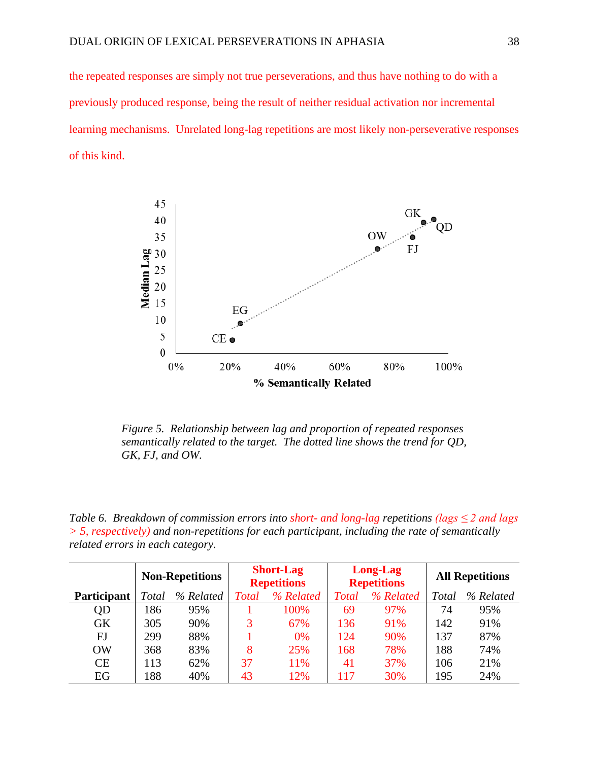the repeated responses are simply not true perseverations, and thus have nothing to do with a previously produced response, being the result of neither residual activation nor incremental learning mechanisms. Unrelated long-lag repetitions are most likely non-perseverative responses of this kind.



*Figure 5. Relationship between lag and proportion of repeated responses semantically related to the target. The dotted line shows the trend for QD, GK, FJ, and OW.*

*Table 6. Breakdown of commission errors into short- and long-lag repetitions (lags ≤ 2 and lags > 5, respectively) and non-repetitions for each participant, including the rate of semantically related errors in each category.*

|                    | <b>Non-Repetitions</b> |           | <b>Short-Lag</b><br><b>Repetitions</b> |           | Long-Lag<br><b>Repetitions</b> |           | <b>All Repetitions</b> |           |
|--------------------|------------------------|-----------|----------------------------------------|-----------|--------------------------------|-----------|------------------------|-----------|
| <b>Participant</b> | <b>Total</b>           | % Related | <b>Total</b>                           | % Related | <b>T</b> otal                  | % Related | Total                  | % Related |
| QD                 | 186                    | 95%       |                                        | 100%      | 69                             | 97%       | 74                     | 95%       |
| GK                 | 305                    | 90%       | 3                                      | 67%       | 136                            | 91%       | 142                    | 91%       |
| FJ                 | 299                    | 88%       |                                        | 0%        | 124                            | 90%       | 137                    | 87%       |
| OW                 | 368                    | 83%       | 8                                      | 25%       | 168                            | 78%       | 188                    | 74%       |
| CE                 | 113                    | 62%       | 37                                     | 11%       | 41                             | 37%       | 106                    | 21%       |
| EG                 | 188                    | 40%       | 43                                     | 12%       | 117                            | 30%       | 195                    | 24%       |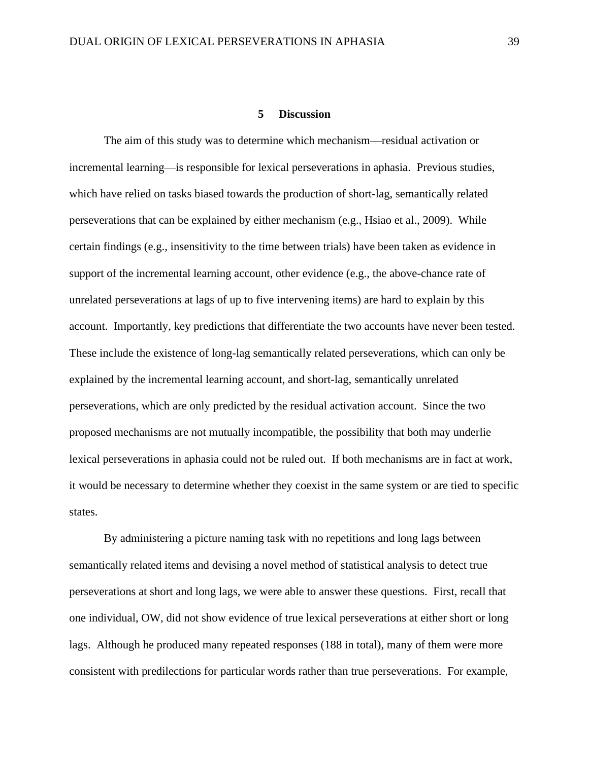#### **5 Discussion**

The aim of this study was to determine which mechanism—residual activation or incremental learning—is responsible for lexical perseverations in aphasia. Previous studies, which have relied on tasks biased towards the production of short-lag, semantically related perseverations that can be explained by either mechanism (e.g., Hsiao et al., 2009). While certain findings (e.g., insensitivity to the time between trials) have been taken as evidence in support of the incremental learning account, other evidence (e.g., the above-chance rate of unrelated perseverations at lags of up to five intervening items) are hard to explain by this account. Importantly, key predictions that differentiate the two accounts have never been tested. These include the existence of long-lag semantically related perseverations, which can only be explained by the incremental learning account, and short-lag, semantically unrelated perseverations, which are only predicted by the residual activation account. Since the two proposed mechanisms are not mutually incompatible, the possibility that both may underlie lexical perseverations in aphasia could not be ruled out. If both mechanisms are in fact at work, it would be necessary to determine whether they coexist in the same system or are tied to specific states.

By administering a picture naming task with no repetitions and long lags between semantically related items and devising a novel method of statistical analysis to detect true perseverations at short and long lags, we were able to answer these questions. First, recall that one individual, OW, did not show evidence of true lexical perseverations at either short or long lags. Although he produced many repeated responses (188 in total), many of them were more consistent with predilections for particular words rather than true perseverations. For example,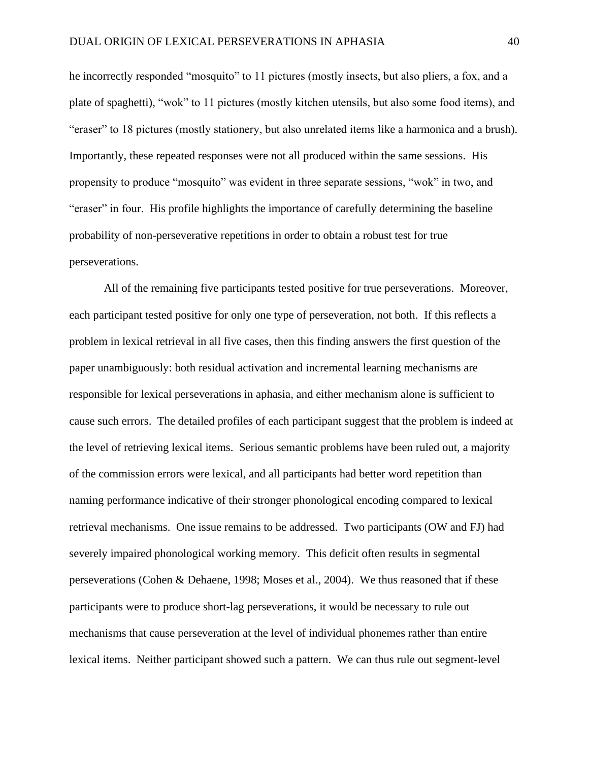he incorrectly responded "mosquito" to 11 pictures (mostly insects, but also pliers, a fox, and a plate of spaghetti), "wok" to 11 pictures (mostly kitchen utensils, but also some food items), and "eraser" to 18 pictures (mostly stationery, but also unrelated items like a harmonica and a brush). Importantly, these repeated responses were not all produced within the same sessions. His propensity to produce "mosquito" was evident in three separate sessions, "wok" in two, and "eraser" in four. His profile highlights the importance of carefully determining the baseline probability of non-perseverative repetitions in order to obtain a robust test for true perseverations.

All of the remaining five participants tested positive for true perseverations. Moreover, each participant tested positive for only one type of perseveration, not both. If this reflects a problem in lexical retrieval in all five cases, then this finding answers the first question of the paper unambiguously: both residual activation and incremental learning mechanisms are responsible for lexical perseverations in aphasia, and either mechanism alone is sufficient to cause such errors. The detailed profiles of each participant suggest that the problem is indeed at the level of retrieving lexical items. Serious semantic problems have been ruled out, a majority of the commission errors were lexical, and all participants had better word repetition than naming performance indicative of their stronger phonological encoding compared to lexical retrieval mechanisms. One issue remains to be addressed. Two participants (OW and FJ) had severely impaired phonological working memory. This deficit often results in segmental perseverations (Cohen & Dehaene, 1998; Moses et al., 2004). We thus reasoned that if these participants were to produce short-lag perseverations, it would be necessary to rule out mechanisms that cause perseveration at the level of individual phonemes rather than entire lexical items. Neither participant showed such a pattern. We can thus rule out segment-level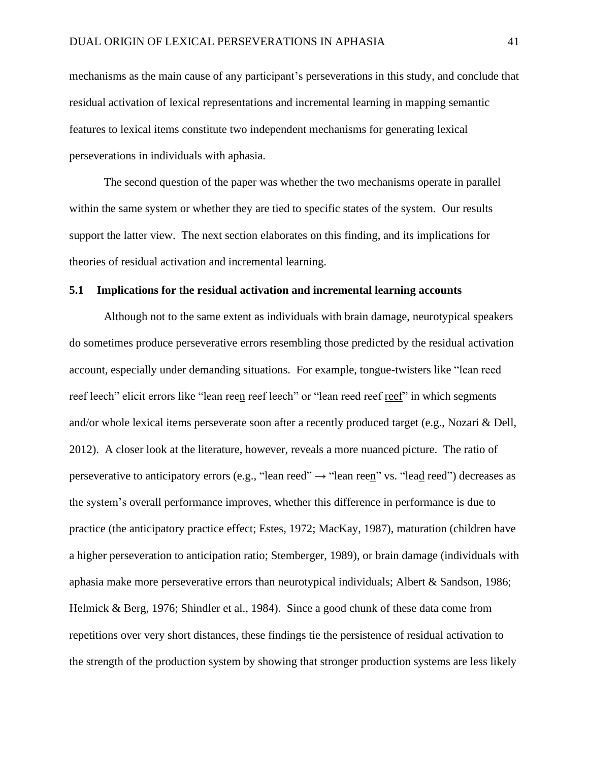mechanisms as the main cause of any participant's perseverations in this study, and conclude that residual activation of lexical representations and incremental learning in mapping semantic features to lexical items constitute two independent mechanisms for generating lexical perseverations in individuals with aphasia.

The second question of the paper was whether the two mechanisms operate in parallel within the same system or whether they are tied to specific states of the system. Our results support the latter view. The next section elaborates on this finding, and its implications for theories of residual activation and incremental learning.

## **5.1 Implications for the residual activation and incremental learning accounts**

Although not to the same extent as individuals with brain damage, neurotypical speakers do sometimes produce perseverative errors resembling those predicted by the residual activation account, especially under demanding situations. For example, tongue-twisters like "lean reed reef leech" elicit errors like "lean reen reef leech" or "lean reed reef reef" in which segments and/or whole lexical items perseverate soon after a recently produced target (e.g., Nozari & Dell, 2012). A closer look at the literature, however, reveals a more nuanced picture. The ratio of perseverative to anticipatory errors (e.g., "lean reed"  $\rightarrow$  "lean reen" vs. "lead reed") decreases as the system's overall performance improves, whether this difference in performance is due to practice (the anticipatory practice effect; Estes, 1972; MacKay, 1987), maturation (children have a higher perseveration to anticipation ratio; Stemberger, 1989), or brain damage (individuals with aphasia make more perseverative errors than neurotypical individuals; Albert & Sandson, 1986; Helmick & Berg, 1976; Shindler et al., 1984). Since a good chunk of these data come from repetitions over very short distances, these findings tie the persistence of residual activation to the strength of the production system by showing that stronger production systems are less likely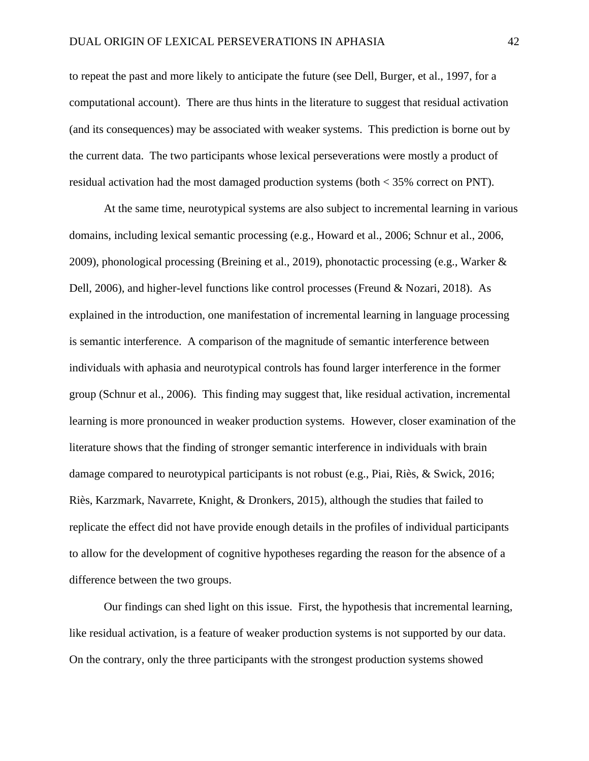to repeat the past and more likely to anticipate the future (see Dell, Burger, et al., 1997, for a computational account). There are thus hints in the literature to suggest that residual activation (and its consequences) may be associated with weaker systems. This prediction is borne out by the current data. The two participants whose lexical perseverations were mostly a product of residual activation had the most damaged production systems (both < 35% correct on PNT).

At the same time, neurotypical systems are also subject to incremental learning in various domains, including lexical semantic processing (e.g., Howard et al., 2006; Schnur et al., 2006, 2009), phonological processing (Breining et al., 2019), phonotactic processing (e.g., Warker & Dell, 2006), and higher-level functions like control processes (Freund & Nozari, 2018). As explained in the introduction, one manifestation of incremental learning in language processing is semantic interference. A comparison of the magnitude of semantic interference between individuals with aphasia and neurotypical controls has found larger interference in the former group (Schnur et al., 2006). This finding may suggest that, like residual activation, incremental learning is more pronounced in weaker production systems. However, closer examination of the literature shows that the finding of stronger semantic interference in individuals with brain damage compared to neurotypical participants is not robust (e.g., Piai, Riès, & Swick, 2016; Riès, Karzmark, Navarrete, Knight, & Dronkers, 2015), although the studies that failed to replicate the effect did not have provide enough details in the profiles of individual participants to allow for the development of cognitive hypotheses regarding the reason for the absence of a difference between the two groups.

Our findings can shed light on this issue. First, the hypothesis that incremental learning, like residual activation, is a feature of weaker production systems is not supported by our data. On the contrary, only the three participants with the strongest production systems showed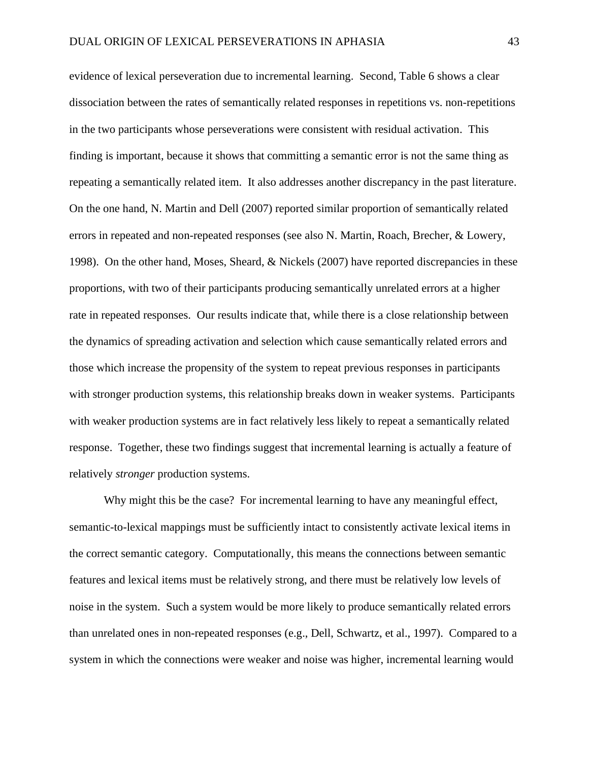evidence of lexical perseveration due to incremental learning. Second, Table 6 shows a clear dissociation between the rates of semantically related responses in repetitions vs. non-repetitions in the two participants whose perseverations were consistent with residual activation. This finding is important, because it shows that committing a semantic error is not the same thing as repeating a semantically related item. It also addresses another discrepancy in the past literature. On the one hand, N. Martin and Dell (2007) reported similar proportion of semantically related errors in repeated and non-repeated responses (see also N. Martin, Roach, Brecher, & Lowery, 1998). On the other hand, Moses, Sheard,  $\&$  Nickels (2007) have reported discrepancies in these proportions, with two of their participants producing semantically unrelated errors at a higher rate in repeated responses. Our results indicate that, while there is a close relationship between the dynamics of spreading activation and selection which cause semantically related errors and those which increase the propensity of the system to repeat previous responses in participants with stronger production systems, this relationship breaks down in weaker systems. Participants with weaker production systems are in fact relatively less likely to repeat a semantically related response. Together, these two findings suggest that incremental learning is actually a feature of relatively *stronger* production systems.

Why might this be the case? For incremental learning to have any meaningful effect, semantic-to-lexical mappings must be sufficiently intact to consistently activate lexical items in the correct semantic category. Computationally, this means the connections between semantic features and lexical items must be relatively strong, and there must be relatively low levels of noise in the system. Such a system would be more likely to produce semantically related errors than unrelated ones in non-repeated responses (e.g., Dell, Schwartz, et al., 1997). Compared to a system in which the connections were weaker and noise was higher, incremental learning would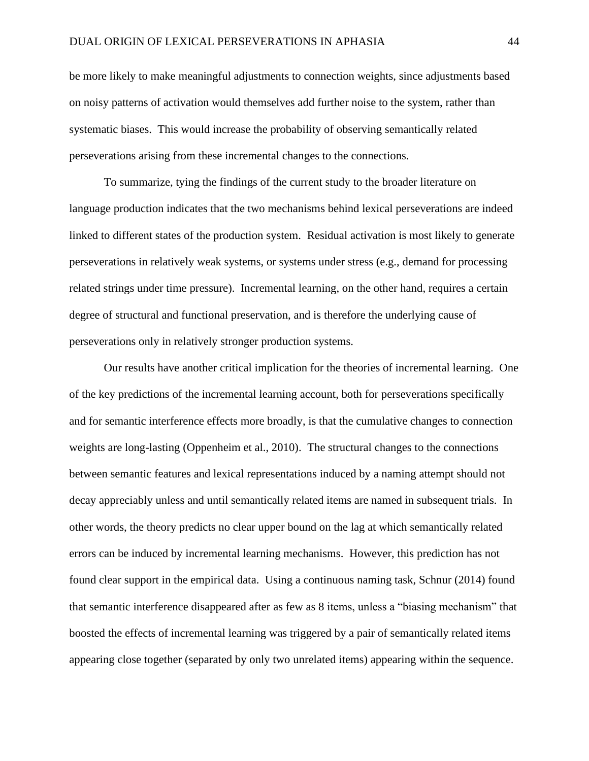be more likely to make meaningful adjustments to connection weights, since adjustments based on noisy patterns of activation would themselves add further noise to the system, rather than systematic biases. This would increase the probability of observing semantically related perseverations arising from these incremental changes to the connections.

To summarize, tying the findings of the current study to the broader literature on language production indicates that the two mechanisms behind lexical perseverations are indeed linked to different states of the production system. Residual activation is most likely to generate perseverations in relatively weak systems, or systems under stress (e.g., demand for processing related strings under time pressure). Incremental learning, on the other hand, requires a certain degree of structural and functional preservation, and is therefore the underlying cause of perseverations only in relatively stronger production systems.

Our results have another critical implication for the theories of incremental learning. One of the key predictions of the incremental learning account, both for perseverations specifically and for semantic interference effects more broadly, is that the cumulative changes to connection weights are long-lasting (Oppenheim et al., 2010). The structural changes to the connections between semantic features and lexical representations induced by a naming attempt should not decay appreciably unless and until semantically related items are named in subsequent trials. In other words, the theory predicts no clear upper bound on the lag at which semantically related errors can be induced by incremental learning mechanisms. However, this prediction has not found clear support in the empirical data. Using a continuous naming task, Schnur (2014) found that semantic interference disappeared after as few as 8 items, unless a "biasing mechanism" that boosted the effects of incremental learning was triggered by a pair of semantically related items appearing close together (separated by only two unrelated items) appearing within the sequence.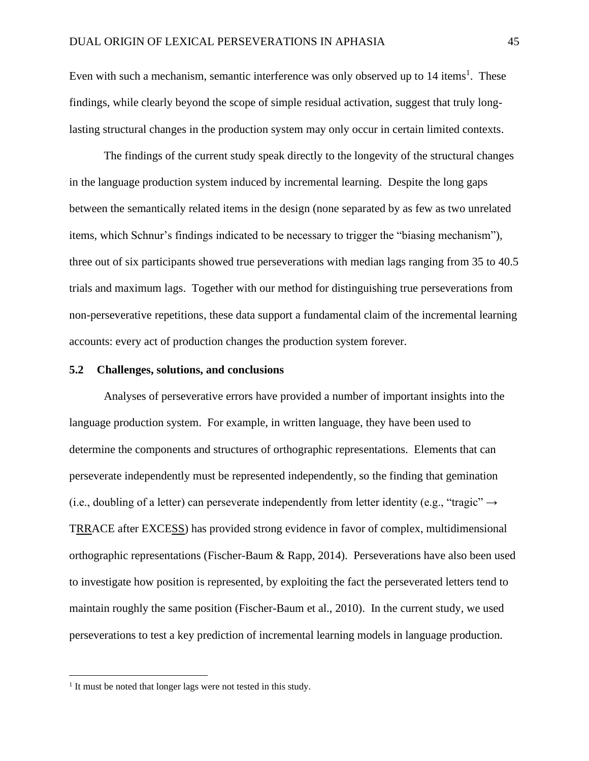Even with such a mechanism, semantic interference was only observed up to 14 items<sup>1</sup>. These findings, while clearly beyond the scope of simple residual activation, suggest that truly longlasting structural changes in the production system may only occur in certain limited contexts.

The findings of the current study speak directly to the longevity of the structural changes in the language production system induced by incremental learning. Despite the long gaps between the semantically related items in the design (none separated by as few as two unrelated items, which Schnur's findings indicated to be necessary to trigger the "biasing mechanism"), three out of six participants showed true perseverations with median lags ranging from 35 to 40.5 trials and maximum lags. Together with our method for distinguishing true perseverations from non-perseverative repetitions, these data support a fundamental claim of the incremental learning accounts: every act of production changes the production system forever.

## **5.2 Challenges, solutions, and conclusions**

Analyses of perseverative errors have provided a number of important insights into the language production system. For example, in written language, they have been used to determine the components and structures of orthographic representations. Elements that can perseverate independently must be represented independently, so the finding that gemination (i.e., doubling of a letter) can perseverate independently from letter identity (e.g., "tragic"  $\rightarrow$ TRRACE after EXCESS) has provided strong evidence in favor of complex, multidimensional orthographic representations (Fischer-Baum & Rapp, 2014). Perseverations have also been used to investigate how position is represented, by exploiting the fact the perseverated letters tend to maintain roughly the same position (Fischer-Baum et al., 2010). In the current study, we used perseverations to test a key prediction of incremental learning models in language production.

<sup>&</sup>lt;sup>1</sup> It must be noted that longer lags were not tested in this study.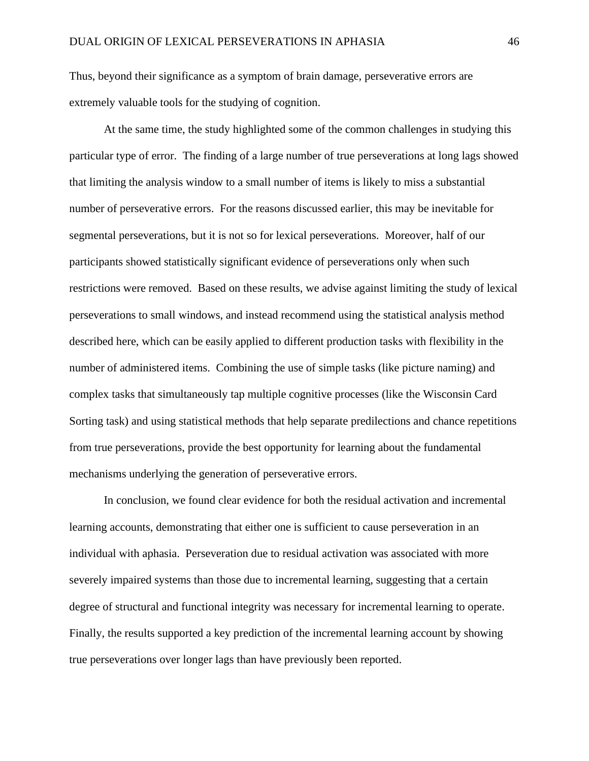Thus, beyond their significance as a symptom of brain damage, perseverative errors are extremely valuable tools for the studying of cognition.

At the same time, the study highlighted some of the common challenges in studying this particular type of error. The finding of a large number of true perseverations at long lags showed that limiting the analysis window to a small number of items is likely to miss a substantial number of perseverative errors. For the reasons discussed earlier, this may be inevitable for segmental perseverations, but it is not so for lexical perseverations. Moreover, half of our participants showed statistically significant evidence of perseverations only when such restrictions were removed. Based on these results, we advise against limiting the study of lexical perseverations to small windows, and instead recommend using the statistical analysis method described here, which can be easily applied to different production tasks with flexibility in the number of administered items. Combining the use of simple tasks (like picture naming) and complex tasks that simultaneously tap multiple cognitive processes (like the Wisconsin Card Sorting task) and using statistical methods that help separate predilections and chance repetitions from true perseverations, provide the best opportunity for learning about the fundamental mechanisms underlying the generation of perseverative errors.

In conclusion, we found clear evidence for both the residual activation and incremental learning accounts, demonstrating that either one is sufficient to cause perseveration in an individual with aphasia. Perseveration due to residual activation was associated with more severely impaired systems than those due to incremental learning, suggesting that a certain degree of structural and functional integrity was necessary for incremental learning to operate. Finally, the results supported a key prediction of the incremental learning account by showing true perseverations over longer lags than have previously been reported.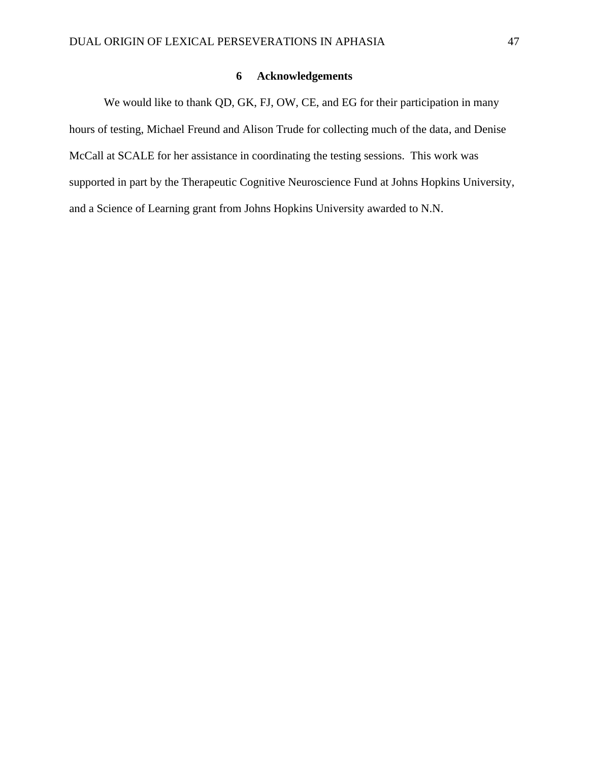## **6 Acknowledgements**

We would like to thank QD, GK, FJ, OW, CE, and EG for their participation in many hours of testing, Michael Freund and Alison Trude for collecting much of the data, and Denise McCall at SCALE for her assistance in coordinating the testing sessions. This work was supported in part by the Therapeutic Cognitive Neuroscience Fund at Johns Hopkins University, and a Science of Learning grant from Johns Hopkins University awarded to N.N.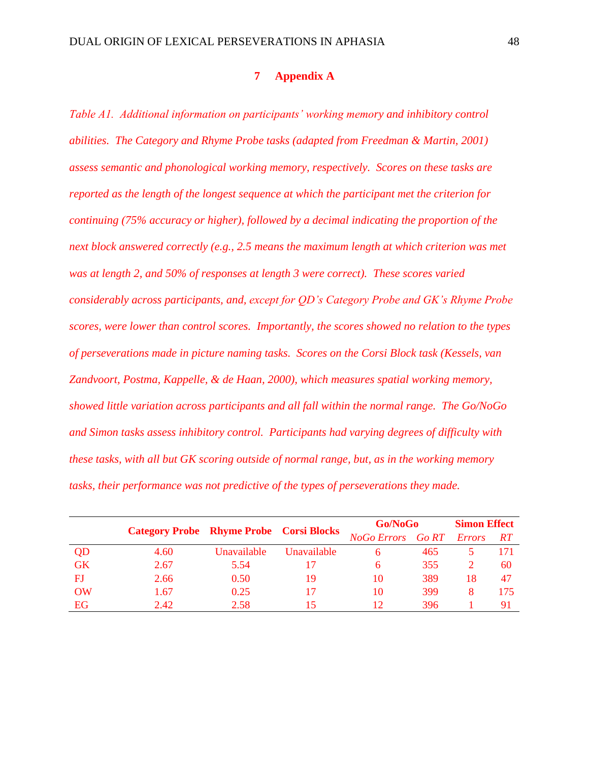# **7 Appendix A**

*Table A1. Additional information on participants' working memory and inhibitory control abilities. The Category and Rhyme Probe tasks (adapted from Freedman & Martin, 2001) assess semantic and phonological working memory, respectively. Scores on these tasks are reported as the length of the longest sequence at which the participant met the criterion for continuing (75% accuracy or higher), followed by a decimal indicating the proportion of the next block answered correctly (e.g., 2.5 means the maximum length at which criterion was met was at length 2, and 50% of responses at length 3 were correct). These scores varied considerably across participants, and, except for QD's Category Probe and GK's Rhyme Probe scores, were lower than control scores. Importantly, the scores showed no relation to the types of perseverations made in picture naming tasks. Scores on the Corsi Block task (Kessels, van Zandvoort, Postma, Kappelle, & de Haan, 2000), which measures spatial working memory, showed little variation across participants and all fall within the normal range. The Go/NoGo and Simon tasks assess inhibitory control. Participants had varying degrees of difficulty with these tasks, with all but GK scoring outside of normal range, but, as in the working memory tasks, their performance was not predictive of the types of perseverations they made.*

|           |      |                   | <b>Category Probe Rhyme Probe Corsi Blocks</b> | <b>Go/NoGo</b>    | <b>Simon Effect</b> |               |           |
|-----------|------|-------------------|------------------------------------------------|-------------------|---------------------|---------------|-----------|
|           |      |                   |                                                | NoGo Errors Go RT |                     | <i>Errors</i> | <b>RT</b> |
| QD        | 4.60 | Unavailable       | <b>Unavailable</b>                             | 6                 | 465                 |               | 171       |
| <b>GK</b> | 2.67 | 5.54              |                                                | 6                 | 355                 |               | 60        |
| FJ        | 2.66 | 0.50 <sub>1</sub> | 19                                             | 10                | 389                 | 18            | 47        |
| <b>OW</b> | 1.67 | 0.25              | 17                                             | 10                | 399                 |               | 175       |
| <b>EG</b> | 2.42 | 2.58              | 15                                             | 12                | 396                 |               | 91        |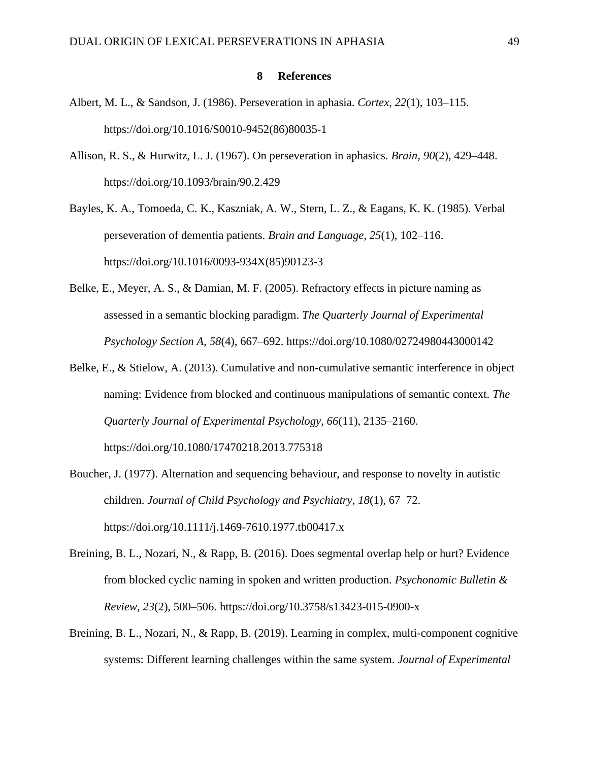## **8 References**

- Albert, M. L., & Sandson, J. (1986). Perseveration in aphasia. *Cortex*, *22*(1), 103–115. https://doi.org/10.1016/S0010-9452(86)80035-1
- Allison, R. S., & Hurwitz, L. J. (1967). On perseveration in aphasics. *Brain*, *90*(2), 429–448. https://doi.org/10.1093/brain/90.2.429

Bayles, K. A., Tomoeda, C. K., Kaszniak, A. W., Stern, L. Z., & Eagans, K. K. (1985). Verbal perseveration of dementia patients. *Brain and Language*, *25*(1), 102–116. https://doi.org/10.1016/0093-934X(85)90123-3

- Belke, E., Meyer, A. S., & Damian, M. F. (2005). Refractory effects in picture naming as assessed in a semantic blocking paradigm. *The Quarterly Journal of Experimental Psychology Section A*, *58*(4), 667–692. https://doi.org/10.1080/02724980443000142
- Belke, E., & Stielow, A. (2013). Cumulative and non-cumulative semantic interference in object naming: Evidence from blocked and continuous manipulations of semantic context. *The Quarterly Journal of Experimental Psychology*, *66*(11), 2135–2160. https://doi.org/10.1080/17470218.2013.775318

Boucher, J. (1977). Alternation and sequencing behaviour, and response to novelty in autistic children. *Journal of Child Psychology and Psychiatry*, *18*(1), 67–72. https://doi.org/10.1111/j.1469-7610.1977.tb00417.x

- Breining, B. L., Nozari, N., & Rapp, B. (2016). Does segmental overlap help or hurt? Evidence from blocked cyclic naming in spoken and written production. *Psychonomic Bulletin & Review*, *23*(2), 500–506. https://doi.org/10.3758/s13423-015-0900-x
- Breining, B. L., Nozari, N., & Rapp, B. (2019). Learning in complex, multi-component cognitive systems: Different learning challenges within the same system. *Journal of Experimental*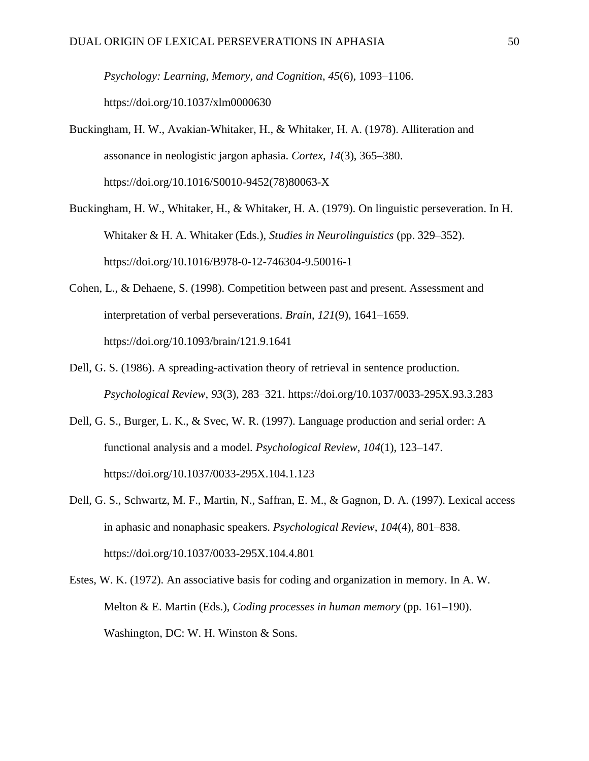*Psychology: Learning, Memory, and Cognition*, *45*(6), 1093–1106. https://doi.org/10.1037/xlm0000630

- Buckingham, H. W., Avakian-Whitaker, H., & Whitaker, H. A. (1978). Alliteration and assonance in neologistic jargon aphasia. *Cortex*, *14*(3), 365–380. https://doi.org/10.1016/S0010-9452(78)80063-X
- Buckingham, H. W., Whitaker, H., & Whitaker, H. A. (1979). On linguistic perseveration. In H. Whitaker & H. A. Whitaker (Eds.), *Studies in Neurolinguistics* (pp. 329–352). https://doi.org/10.1016/B978-0-12-746304-9.50016-1
- Cohen, L., & Dehaene, S. (1998). Competition between past and present. Assessment and interpretation of verbal perseverations. *Brain*, *121*(9), 1641–1659. https://doi.org/10.1093/brain/121.9.1641
- Dell, G. S. (1986). A spreading-activation theory of retrieval in sentence production. *Psychological Review*, *93*(3), 283–321. https://doi.org/10.1037/0033-295X.93.3.283
- Dell, G. S., Burger, L. K., & Svec, W. R. (1997). Language production and serial order: A functional analysis and a model. *Psychological Review*, *104*(1), 123–147. https://doi.org/10.1037/0033-295X.104.1.123
- Dell, G. S., Schwartz, M. F., Martin, N., Saffran, E. M., & Gagnon, D. A. (1997). Lexical access in aphasic and nonaphasic speakers. *Psychological Review*, *104*(4), 801–838. https://doi.org/10.1037/0033-295X.104.4.801
- Estes, W. K. (1972). An associative basis for coding and organization in memory. In A. W. Melton & E. Martin (Eds.), *Coding processes in human memory* (pp. 161–190). Washington, DC: W. H. Winston & Sons.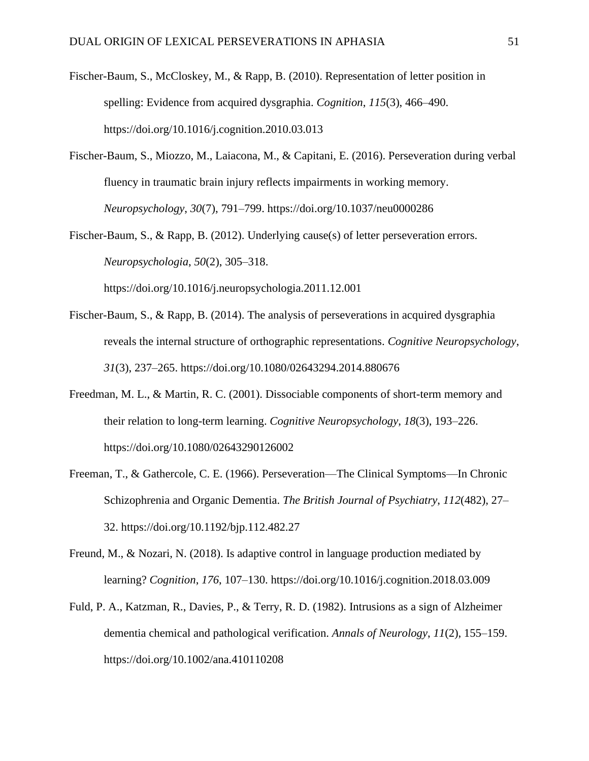- Fischer-Baum, S., McCloskey, M., & Rapp, B. (2010). Representation of letter position in spelling: Evidence from acquired dysgraphia. *Cognition*, *115*(3), 466–490. https://doi.org/10.1016/j.cognition.2010.03.013
- Fischer-Baum, S., Miozzo, M., Laiacona, M., & Capitani, E. (2016). Perseveration during verbal fluency in traumatic brain injury reflects impairments in working memory. *Neuropsychology*, *30*(7), 791–799. https://doi.org/10.1037/neu0000286
- Fischer-Baum, S., & Rapp, B. (2012). Underlying cause(s) of letter perseveration errors. *Neuropsychologia*, *50*(2), 305–318. https://doi.org/10.1016/j.neuropsychologia.2011.12.001
- Fischer-Baum, S., & Rapp, B. (2014). The analysis of perseverations in acquired dysgraphia reveals the internal structure of orthographic representations. *Cognitive Neuropsychology*, *31*(3), 237–265. https://doi.org/10.1080/02643294.2014.880676
- Freedman, M. L., & Martin, R. C. (2001). Dissociable components of short-term memory and their relation to long-term learning. *Cognitive Neuropsychology*, *18*(3), 193–226. https://doi.org/10.1080/02643290126002
- Freeman, T., & Gathercole, C. E. (1966). Perseveration—The Clinical Symptoms—In Chronic Schizophrenia and Organic Dementia. *The British Journal of Psychiatry*, *112*(482), 27– 32. https://doi.org/10.1192/bjp.112.482.27
- Freund, M., & Nozari, N. (2018). Is adaptive control in language production mediated by learning? *Cognition*, *176*, 107–130. https://doi.org/10.1016/j.cognition.2018.03.009
- Fuld, P. A., Katzman, R., Davies, P., & Terry, R. D. (1982). Intrusions as a sign of Alzheimer dementia chemical and pathological verification. *Annals of Neurology*, *11*(2), 155–159. https://doi.org/10.1002/ana.410110208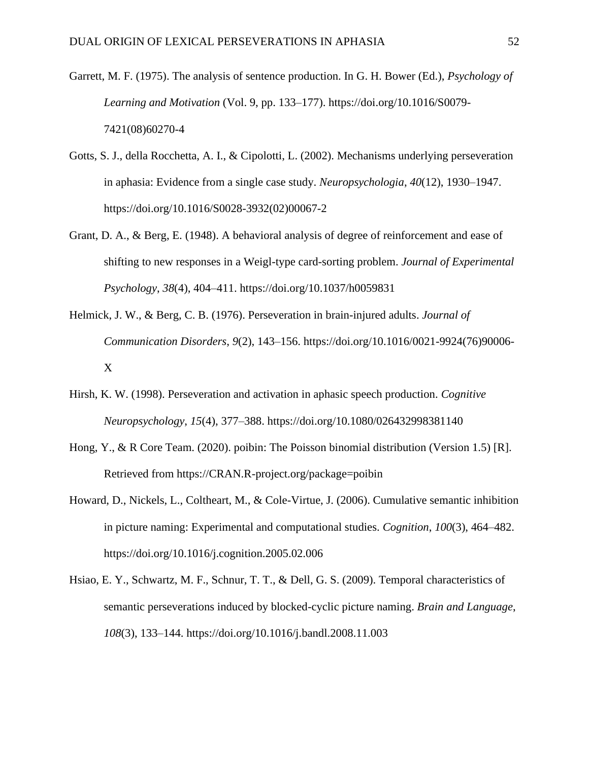- Garrett, M. F. (1975). The analysis of sentence production. In G. H. Bower (Ed.), *Psychology of Learning and Motivation* (Vol. 9, pp. 133–177). https://doi.org/10.1016/S0079- 7421(08)60270-4
- Gotts, S. J., della Rocchetta, A. I., & Cipolotti, L. (2002). Mechanisms underlying perseveration in aphasia: Evidence from a single case study. *Neuropsychologia*, *40*(12), 1930–1947. https://doi.org/10.1016/S0028-3932(02)00067-2
- Grant, D. A., & Berg, E. (1948). A behavioral analysis of degree of reinforcement and ease of shifting to new responses in a Weigl-type card-sorting problem. *Journal of Experimental Psychology*, *38*(4), 404–411. https://doi.org/10.1037/h0059831
- Helmick, J. W., & Berg, C. B. (1976). Perseveration in brain-injured adults. *Journal of Communication Disorders*, *9*(2), 143–156. https://doi.org/10.1016/0021-9924(76)90006- X
- Hirsh, K. W. (1998). Perseveration and activation in aphasic speech production. *Cognitive Neuropsychology*, *15*(4), 377–388. https://doi.org/10.1080/026432998381140
- Hong, Y., & R Core Team. (2020). poibin: The Poisson binomial distribution (Version 1.5) [R]. Retrieved from https://CRAN.R-project.org/package=poibin
- Howard, D., Nickels, L., Coltheart, M., & Cole-Virtue, J. (2006). Cumulative semantic inhibition in picture naming: Experimental and computational studies. *Cognition*, *100*(3), 464–482. https://doi.org/10.1016/j.cognition.2005.02.006
- Hsiao, E. Y., Schwartz, M. F., Schnur, T. T., & Dell, G. S. (2009). Temporal characteristics of semantic perseverations induced by blocked-cyclic picture naming. *Brain and Language*, *108*(3), 133–144. https://doi.org/10.1016/j.bandl.2008.11.003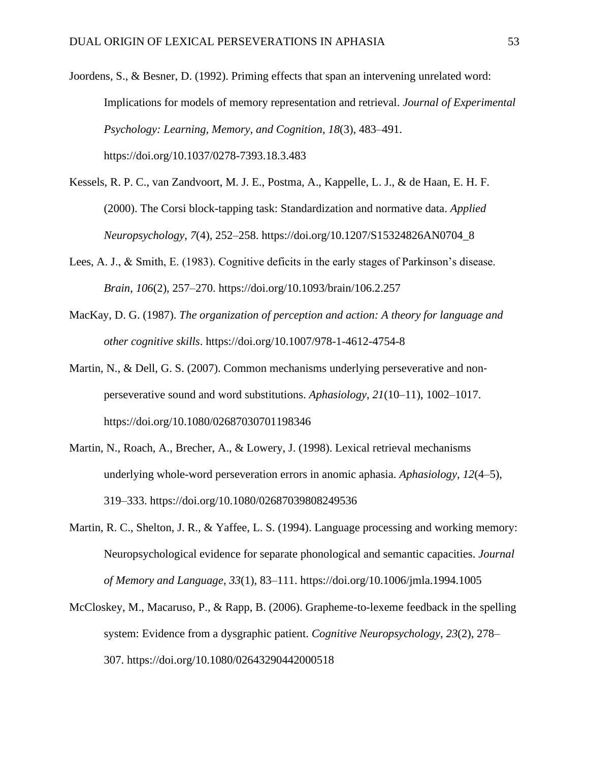- Joordens, S., & Besner, D. (1992). Priming effects that span an intervening unrelated word: Implications for models of memory representation and retrieval. *Journal of Experimental Psychology: Learning, Memory, and Cognition*, *18*(3), 483–491. https://doi.org/10.1037/0278-7393.18.3.483
- Kessels, R. P. C., van Zandvoort, M. J. E., Postma, A., Kappelle, L. J., & de Haan, E. H. F. (2000). The Corsi block-tapping task: Standardization and normative data. *Applied Neuropsychology*, *7*(4), 252–258. https://doi.org/10.1207/S15324826AN0704\_8
- Lees, A. J., & Smith, E. (1983). Cognitive deficits in the early stages of Parkinson's disease. *Brain*, *106*(2), 257–270. https://doi.org/10.1093/brain/106.2.257
- MacKay, D. G. (1987). *The organization of perception and action: A theory for language and other cognitive skills*. https://doi.org/10.1007/978-1-4612-4754-8
- Martin, N., & Dell, G. S. (2007). Common mechanisms underlying perseverative and nonperseverative sound and word substitutions. *Aphasiology*, *21*(10–11), 1002–1017. https://doi.org/10.1080/02687030701198346
- Martin, N., Roach, A., Brecher, A., & Lowery, J. (1998). Lexical retrieval mechanisms underlying whole-word perseveration errors in anomic aphasia. *Aphasiology*, *12*(4–5), 319–333. https://doi.org/10.1080/02687039808249536
- Martin, R. C., Shelton, J. R., & Yaffee, L. S. (1994). Language processing and working memory: Neuropsychological evidence for separate phonological and semantic capacities. *Journal of Memory and Language*, *33*(1), 83–111. https://doi.org/10.1006/jmla.1994.1005
- McCloskey, M., Macaruso, P., & Rapp, B. (2006). Grapheme-to-lexeme feedback in the spelling system: Evidence from a dysgraphic patient. *Cognitive Neuropsychology*, *23*(2), 278– 307. https://doi.org/10.1080/02643290442000518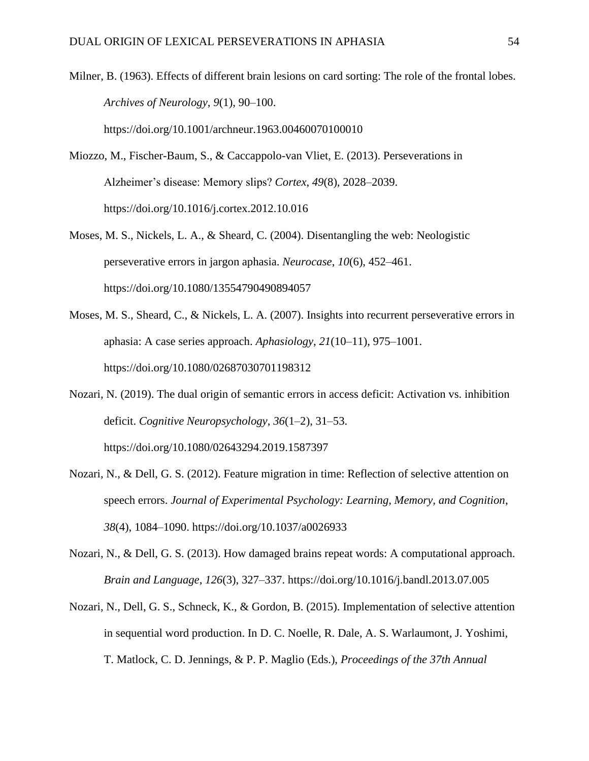Milner, B. (1963). Effects of different brain lesions on card sorting: The role of the frontal lobes. *Archives of Neurology*, *9*(1), 90–100. https://doi.org/10.1001/archneur.1963.00460070100010

- Miozzo, M., Fischer-Baum, S., & Caccappolo-van Vliet, E. (2013). Perseverations in Alzheimer's disease: Memory slips? *Cortex*, *49*(8), 2028–2039. https://doi.org/10.1016/j.cortex.2012.10.016
- Moses, M. S., Nickels, L. A., & Sheard, C. (2004). Disentangling the web: Neologistic perseverative errors in jargon aphasia. *Neurocase*, *10*(6), 452–461. https://doi.org/10.1080/13554790490894057
- Moses, M. S., Sheard, C., & Nickels, L. A. (2007). Insights into recurrent perseverative errors in aphasia: A case series approach. *Aphasiology*, *21*(10–11), 975–1001. https://doi.org/10.1080/02687030701198312
- Nozari, N. (2019). The dual origin of semantic errors in access deficit: Activation vs. inhibition deficit. *Cognitive Neuropsychology*, *36*(1–2), 31–53. https://doi.org/10.1080/02643294.2019.1587397
- Nozari, N., & Dell, G. S. (2012). Feature migration in time: Reflection of selective attention on speech errors. *Journal of Experimental Psychology: Learning, Memory, and Cognition*, *38*(4), 1084–1090. https://doi.org/10.1037/a0026933
- Nozari, N., & Dell, G. S. (2013). How damaged brains repeat words: A computational approach. *Brain and Language*, *126*(3), 327–337. https://doi.org/10.1016/j.bandl.2013.07.005
- Nozari, N., Dell, G. S., Schneck, K., & Gordon, B. (2015). Implementation of selective attention in sequential word production. In D. C. Noelle, R. Dale, A. S. Warlaumont, J. Yoshimi, T. Matlock, C. D. Jennings, & P. P. Maglio (Eds.), *Proceedings of the 37th Annual*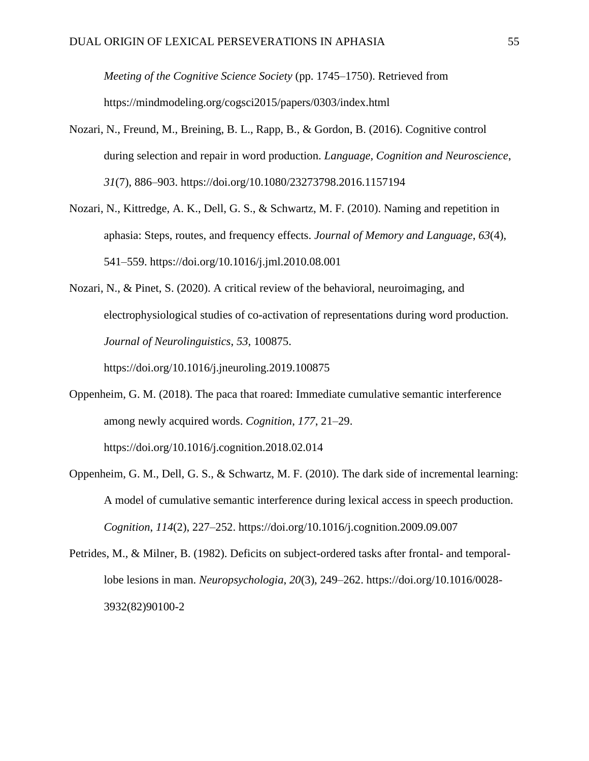*Meeting of the Cognitive Science Society* (pp. 1745–1750). Retrieved from https://mindmodeling.org/cogsci2015/papers/0303/index.html

- Nozari, N., Freund, M., Breining, B. L., Rapp, B., & Gordon, B. (2016). Cognitive control during selection and repair in word production. *Language, Cognition and Neuroscience*, *31*(7), 886–903. https://doi.org/10.1080/23273798.2016.1157194
- Nozari, N., Kittredge, A. K., Dell, G. S., & Schwartz, M. F. (2010). Naming and repetition in aphasia: Steps, routes, and frequency effects. *Journal of Memory and Language*, *63*(4), 541–559. https://doi.org/10.1016/j.jml.2010.08.001
- Nozari, N., & Pinet, S. (2020). A critical review of the behavioral, neuroimaging, and electrophysiological studies of co-activation of representations during word production. *Journal of Neurolinguistics*, *53*, 100875.

https://doi.org/10.1016/j.jneuroling.2019.100875

Oppenheim, G. M. (2018). The paca that roared: Immediate cumulative semantic interference among newly acquired words. *Cognition*, *177*, 21–29. https://doi.org/10.1016/j.cognition.2018.02.014

Oppenheim, G. M., Dell, G. S., & Schwartz, M. F. (2010). The dark side of incremental learning: A model of cumulative semantic interference during lexical access in speech production. *Cognition*, *114*(2), 227–252. https://doi.org/10.1016/j.cognition.2009.09.007

Petrides, M., & Milner, B. (1982). Deficits on subject-ordered tasks after frontal- and temporallobe lesions in man. *Neuropsychologia*, *20*(3), 249–262. https://doi.org/10.1016/0028- 3932(82)90100-2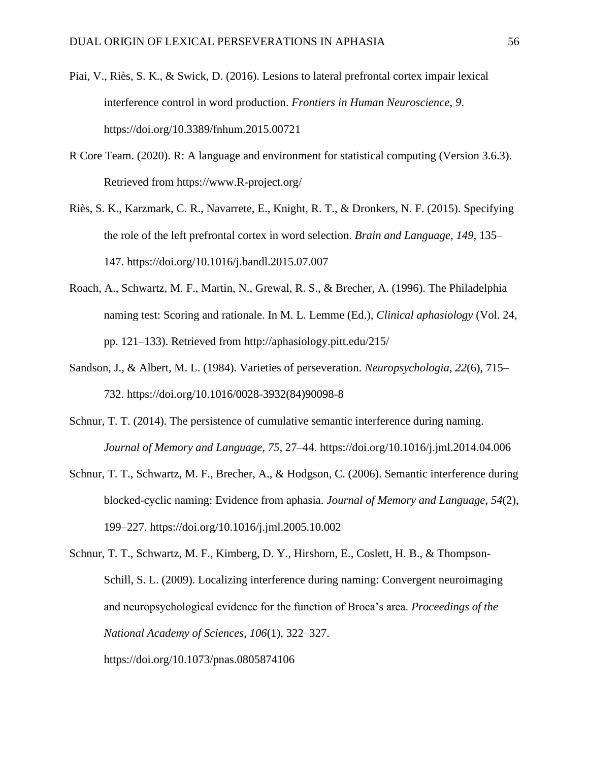- Piai, V., Riès, S. K., & Swick, D. (2016). Lesions to lateral prefrontal cortex impair lexical interference control in word production. *Frontiers in Human Neuroscience*, *9*. https://doi.org/10.3389/fnhum.2015.00721
- R Core Team. (2020). R: A language and environment for statistical computing (Version 3.6.3). Retrieved from https://www.R-project.org/
- Riès, S. K., Karzmark, C. R., Navarrete, E., Knight, R. T., & Dronkers, N. F. (2015). Specifying the role of the left prefrontal cortex in word selection. *Brain and Language*, *149*, 135– 147. https://doi.org/10.1016/j.bandl.2015.07.007
- Roach, A., Schwartz, M. F., Martin, N., Grewal, R. S., & Brecher, A. (1996). The Philadelphia naming test: Scoring and rationale. In M. L. Lemme (Ed.), *Clinical aphasiology* (Vol. 24, pp. 121–133). Retrieved from http://aphasiology.pitt.edu/215/
- Sandson, J., & Albert, M. L. (1984). Varieties of perseveration. *Neuropsychologia*, *22*(6), 715– 732. https://doi.org/10.1016/0028-3932(84)90098-8
- Schnur, T. T. (2014). The persistence of cumulative semantic interference during naming. *Journal of Memory and Language*, *75*, 27–44. https://doi.org/10.1016/j.jml.2014.04.006
- Schnur, T. T., Schwartz, M. F., Brecher, A., & Hodgson, C. (2006). Semantic interference during blocked-cyclic naming: Evidence from aphasia. *Journal of Memory and Language*, *54*(2), 199–227. https://doi.org/10.1016/j.jml.2005.10.002
- Schnur, T. T., Schwartz, M. F., Kimberg, D. Y., Hirshorn, E., Coslett, H. B., & Thompson-Schill, S. L. (2009). Localizing interference during naming: Convergent neuroimaging and neuropsychological evidence for the function of Broca's area. *Proceedings of the National Academy of Sciences*, *106*(1), 322–327.

https://doi.org/10.1073/pnas.0805874106